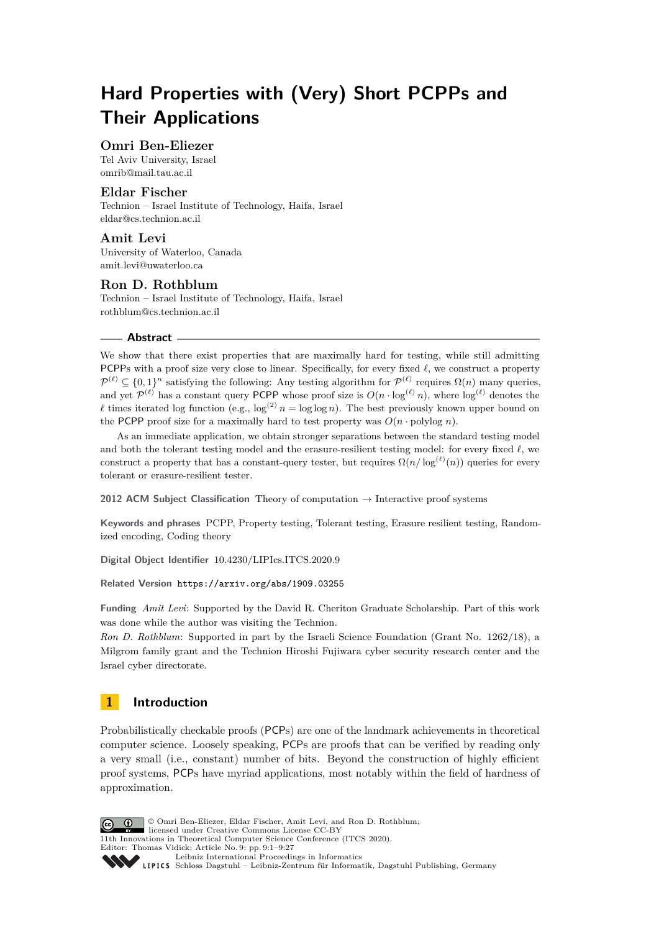# **Hard Properties with (Very) Short PCPPs and Their Applications**

## **Omri Ben-Eliezer**

Tel Aviv University, Israel [omrib@mail.tau.ac.il](mailto:omrib@mail.tau.ac.il)

## **Eldar Fischer**

Technion – Israel Institute of Technology, Haifa, Israel [eldar@cs.technion.ac.il](mailto:eldar@cs.technion.ac.il)

#### **Amit Levi** University of Waterloo, Canada [amit.levi@uwaterloo.ca](mailto:amit.levi@uwaterloo.ca)

## **Ron D. Rothblum**

Technion – Israel Institute of Technology, Haifa, Israel [rothblum@cs.technion.ac.il](mailto:rothblum@cs.technion.ac.il)

#### **Abstract**

We show that there exist properties that are maximally hard for testing, while still admitting PCPPs with a proof size very close to linear. Specifically, for every fixed  $\ell$ , we construct a property  $\mathcal{P}^{(\ell)} \subseteq \{0,1\}^n$  satisfying the following: Any testing algorithm for  $\mathcal{P}^{(\ell)}$  requires  $\Omega(n)$  many queries, and yet  $\mathcal{P}^{(\ell)}$  has a constant query PCPP whose proof size is  $O(n \cdot \log^{(\ell)} n)$ , where  $\log^{(\ell)}$  denotes the  $\ell$  times iterated log function (e.g.,  $\log^{(2)} n = \log \log n$ ). The best previously known upper bound on the PCPP proof size for a maximally hard to test property was  $O(n \cdot \text{polylog } n)$ .

As an immediate application, we obtain stronger separations between the standard testing model and both the tolerant testing model and the erasure-resilient testing model: for every fixed  $\ell$ , we construct a property that has a constant-query tester, but requires  $\Omega(n/\log^{(\ell)}(n))$  queries for every tolerant or erasure-resilient tester.

**2012 ACM Subject Classification** Theory of computation → Interactive proof systems

**Keywords and phrases** PCPP, Property testing, Tolerant testing, Erasure resilient testing, Randomized encoding, Coding theory

**Digital Object Identifier** [10.4230/LIPIcs.ITCS.2020.9](https://doi.org/10.4230/LIPIcs.ITCS.2020.9)

**Related Version** <https://arxiv.org/abs/1909.03255>

**Funding** *Amit Levi*: Supported by the David R. Cheriton Graduate Scholarship. Part of this work was done while the author was visiting the Technion.

*Ron D. Rothblum*: Supported in part by the Israeli Science Foundation (Grant No. 1262/18), a Milgrom family grant and the Technion Hiroshi Fujiwara cyber security research center and the Israel cyber directorate.

## **1 Introduction**

Probabilistically checkable proofs (PCPs) are one of the landmark achievements in theoretical computer science. Loosely speaking, PCPs are proofs that can be verified by reading only a very small (i.e., constant) number of bits. Beyond the construction of highly efficient proof systems, PCPs have myriad applications, most notably within the field of hardness of approximation.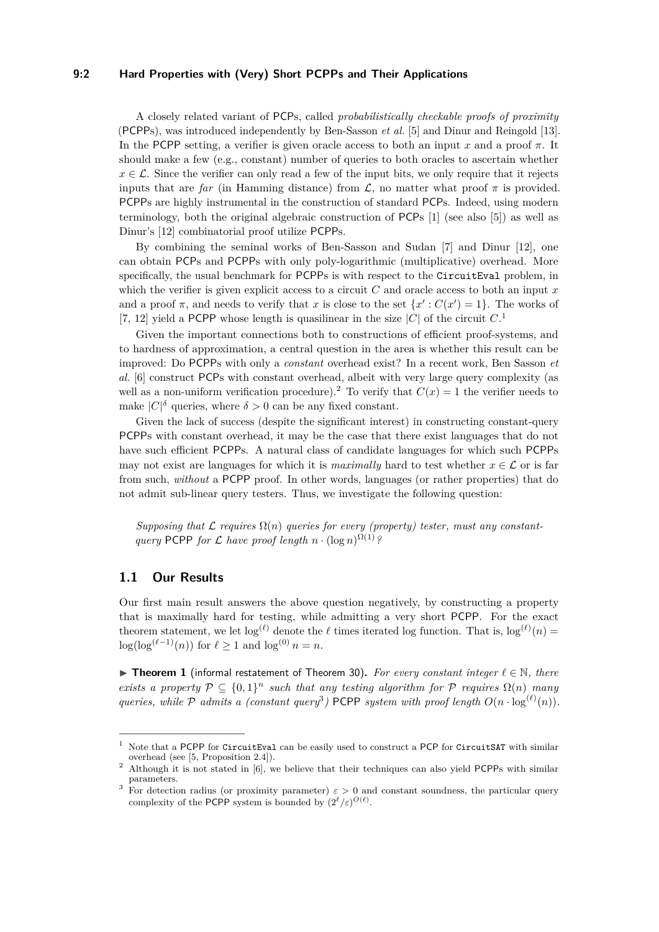#### **9:2 Hard Properties with (Very) Short PCPPs and Their Applications**

A closely related variant of PCPs, called *probabilistically checkable proofs of proximity* (PCPPs), was introduced independently by Ben-Sasson *et al.* [\[5\]](#page-24-0) and Dinur and Reingold [\[13\]](#page-25-0). In the PCPP setting, a verifier is given oracle access to both an input *x* and a proof *π*. It should make a few (e.g., constant) number of queries to both oracles to ascertain whether  $x \in \mathcal{L}$ . Since the verifier can only read a few of the input bits, we only require that it rejects inputs that are *far* (in Hamming distance) from  $\mathcal{L}$ , no matter what proof  $\pi$  is provided. PCPPs are highly instrumental in the construction of standard PCPs. Indeed, using modern terminology, both the original algebraic construction of PCPs [\[1\]](#page-24-1) (see also [\[5\]](#page-24-0)) as well as Dinur's [\[12\]](#page-25-1) combinatorial proof utilize PCPPs.

By combining the seminal works of Ben-Sasson and Sudan [\[7\]](#page-25-2) and Dinur [\[12\]](#page-25-1), one can obtain PCPs and PCPPs with only poly-logarithmic (multiplicative) overhead. More specifically, the usual benchmark for PCPPs is with respect to the CircuitEval problem, in which the verifier is given explicit access to a circuit *C* and oracle access to both an input *x* and a proof  $\pi$ , and needs to verify that *x* is close to the set  $\{x': C(x') = 1\}$ . The works of [\[7,](#page-25-2) [12\]](#page-25-1) yield a PCPP whose length is quasilinear in the size  $|C|$  of the circuit  $C$ <sup>[1](#page-1-0)</sup>

Given the important connections both to constructions of efficient proof-systems, and to hardness of approximation, a central question in the area is whether this result can be improved: Do PCPPs with only a *constant* overhead exist? In a recent work, Ben Sasson *et al.* [\[6\]](#page-24-2) construct PCPs with constant overhead, albeit with very large query complexity (as well as a non-uniform verification procedure).<sup>[2](#page-1-1)</sup> To verify that  $C(x) = 1$  the verifier needs to make  $|C|^{\delta}$  queries, where  $\delta > 0$  can be any fixed constant.

Given the lack of success (despite the significant interest) in constructing constant-query PCPPs with constant overhead, it may be the case that there exist languages that do not have such efficient PCPPs. A natural class of candidate languages for which such PCPPs may not exist are languages for which it is *maximally* hard to test whether  $x \in \mathcal{L}$  or is far from such, *without* a PCPP proof. In other words, languages (or rather properties) that do not admit sub-linear query testers. Thus, we investigate the following question:

Supposing that  $\mathcal L$  *requires*  $\Omega(n)$  *queries for every (property) tester, must any constantquery* PCPP *for*  $\mathcal L$  *have proof length*  $n \cdot (\log n)^{\Omega(1)}$ ?

#### **1.1 Our Results**

Our first main result answers the above question negatively, by constructing a property that is maximally hard for testing, while admitting a very short PCPP. For the exact theorem statement, we let  $\log^{(\ell)}$  denote the  $\ell$  times iterated log function. That is,  $\log^{(\ell)}(n)$  $\log(\log^{(\ell-1)}(n))$  for  $\ell \geq 1$  and  $\log^{(0)} n = n$ .

<span id="page-1-3"></span>**► Theorem 1** (informal restatement of Theorem [30\)](#page-13-0). For every constant integer  $\ell \in \mathbb{N}$ , there *exists a property*  $P \subseteq \{0,1\}^n$  *such that any testing algorithm for* P *requires*  $\Omega(n)$  *many queries, while*  $\mathcal{P}$  *admits* a (constant query<sup>[3](#page-1-2)</sup>) PCPP system with proof length  $O(n \cdot \log^{(\ell)}(n))$ .

<span id="page-1-0"></span><sup>1</sup> Note that a PCPP for CircuitEval can be easily used to construct a PCP for CircuitSAT with similar overhead (see [\[5,](#page-24-0) Proposition 2.4]).

<span id="page-1-1"></span><sup>&</sup>lt;sup>2</sup> Although it is not stated in [\[6\]](#page-24-2), we believe that their techniques can also yield PCPPs with similar parameters.

<span id="page-1-2"></span><sup>&</sup>lt;sup>3</sup> For detection radius (or proximity parameter)  $\varepsilon > 0$  and constant soundness, the particular query complexity of the PCPP system is bounded by  $(2^{\ell}/\varepsilon)^{O(\ell)}$ .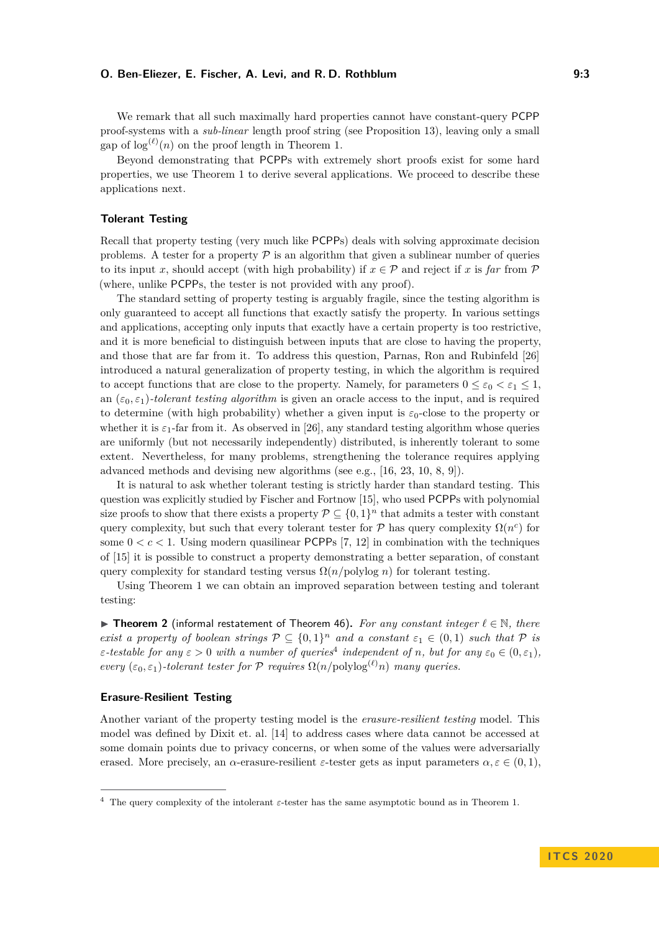We remark that all such maximally hard properties cannot have constant-query PCPP proof-systems with a *sub-linear* length proof string (see Proposition [13\)](#page-8-0), leaving only a small gap of  $\log^{(\ell)}(n)$  on the proof length in Theorem [1.](#page-1-3)

Beyond demonstrating that PCPPs with extremely short proofs exist for some hard properties, we use Theorem [1](#page-1-3) to derive several applications. We proceed to describe these applications next.

#### **Tolerant Testing**

Recall that property testing (very much like PCPPs) deals with solving approximate decision problems. A tester for a property  $P$  is an algorithm that given a sublinear number of queries to its input *x*, should accept (with high probability) if  $x \in \mathcal{P}$  and reject if *x* is *far* from  $\mathcal{P}$ (where, unlike PCPPs, the tester is not provided with any proof).

The standard setting of property testing is arguably fragile, since the testing algorithm is only guaranteed to accept all functions that exactly satisfy the property. In various settings and applications, accepting only inputs that exactly have a certain property is too restrictive, and it is more beneficial to distinguish between inputs that are close to having the property, and those that are far from it. To address this question, Parnas, Ron and Rubinfeld [\[26\]](#page-25-3) introduced a natural generalization of property testing, in which the algorithm is required to accept functions that are close to the property. Namely, for parameters  $0 \leq \varepsilon_0 \leq \varepsilon_1 \leq 1$ , an  $(\varepsilon_0, \varepsilon_1)$ -tolerant testing algorithm is given an oracle access to the input, and is required to determine (with high probability) whether a given input is  $\varepsilon_0$ -close to the property or whether it is  $\varepsilon_1$ -far from it. As observed in [\[26\]](#page-25-3), any standard testing algorithm whose queries are uniformly (but not necessarily independently) distributed, is inherently tolerant to some extent. Nevertheless, for many problems, strengthening the tolerance requires applying advanced methods and devising new algorithms (see e.g., [\[16,](#page-25-4) [23,](#page-25-5) [10,](#page-25-6) [8,](#page-25-7) [9\]](#page-25-8)).

It is natural to ask whether tolerant testing is strictly harder than standard testing. This question was explicitly studied by Fischer and Fortnow [\[15\]](#page-25-9), who used PCPPs with polynomial size proofs to show that there exists a property  $P \subseteq \{0,1\}^n$  that admits a tester with constant query complexity, but such that every tolerant tester for  $\mathcal P$  has query complexity  $\Omega(n^c)$  for some  $0 < c < 1$ . Using modern quasilinear PCPPs [\[7,](#page-25-2) [12\]](#page-25-1) in combination with the techniques of [\[15\]](#page-25-9) it is possible to construct a property demonstrating a better separation, of constant query complexity for standard testing versus  $\Omega(n/\text{polylog } n)$  for tolerant testing.

Using Theorem [1](#page-1-3) we can obtain an improved separation between testing and tolerant testing:

<span id="page-2-1"></span>**► Theorem 2** (informal restatement of Theorem [46\)](#page-22-0). For any constant integer  $\ell \in \mathbb{N}$ , there *exist a property of boolean strings*  $P \subseteq \{0,1\}^n$  *and a constant*  $\varepsilon_1 \in (0,1)$  *such that* P *is ε-testable for any*  $\varepsilon > 0$  *with a number of queries*<sup>[4](#page-2-0)</sup> *independent of n, but for any*  $\varepsilon_0 \in (0, \varepsilon_1)$ *, every*  $(\varepsilon_0, \varepsilon_1)$ -tolerant tester for P requires  $\Omega(n/\text{polylog}^{(\ell)} n)$  *many queries.* 

#### **Erasure-Resilient Testing**

Another variant of the property testing model is the *erasure-resilient testing* model. This model was defined by Dixit et. al. [\[14\]](#page-25-10) to address cases where data cannot be accessed at some domain points due to privacy concerns, or when some of the values were adversarially erased. More precisely, an *α*-erasure-resilient  $\varepsilon$ -tester gets as input parameters  $\alpha, \varepsilon \in (0, 1)$ ,

<span id="page-2-0"></span><sup>4</sup> The query complexity of the intolerant *ε*-tester has the same asymptotic bound as in Theorem [1.](#page-1-3)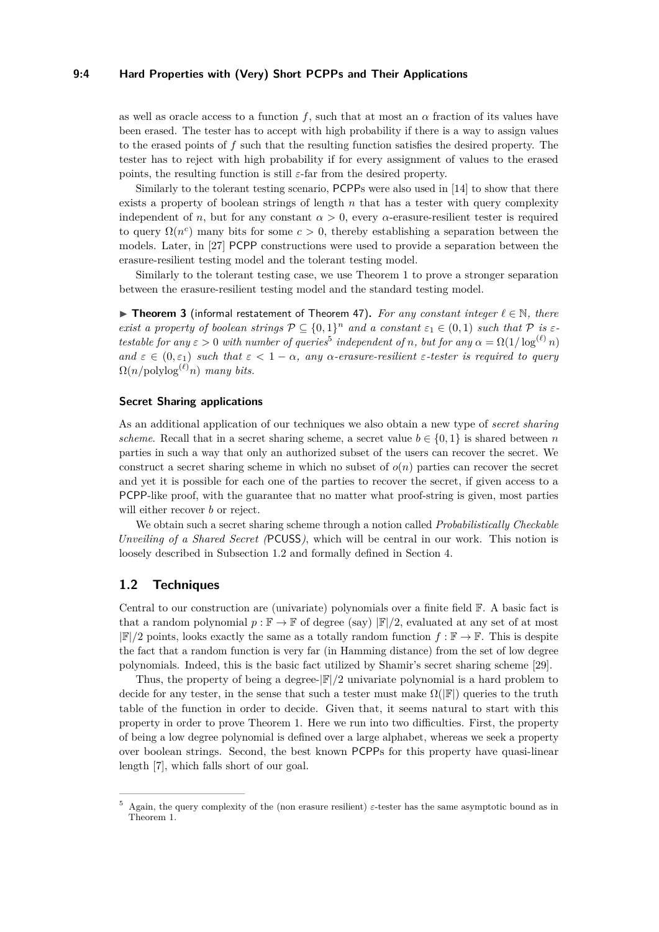#### **9:4 Hard Properties with (Very) Short PCPPs and Their Applications**

as well as oracle access to a function *f*, such that at most an *α* fraction of its values have been erased. The tester has to accept with high probability if there is a way to assign values to the erased points of *f* such that the resulting function satisfies the desired property. The tester has to reject with high probability if for every assignment of values to the erased points, the resulting function is still  $\varepsilon$ -far from the desired property.

Similarly to the tolerant testing scenario, PCPPs were also used in [\[14\]](#page-25-10) to show that there exists a property of boolean strings of length *n* that has a tester with query complexity independent of *n*, but for any constant  $\alpha > 0$ , every  $\alpha$ -erasure-resilient tester is required to query  $\Omega(n^c)$  many bits for some  $c > 0$ , thereby establishing a separation between the models. Later, in [\[27\]](#page-25-11) PCPP constructions were used to provide a separation between the erasure-resilient testing model and the tolerant testing model.

Similarly to the tolerant testing case, we use Theorem [1](#page-1-3) to prove a stronger separation between the erasure-resilient testing model and the standard testing model.

<span id="page-3-2"></span>**► Theorem 3** (informal restatement of Theorem [47\)](#page-22-1). For any constant integer  $\ell \in \mathbb{N}$ , there *exist a property of boolean strings*  $P \subseteq \{0,1\}^n$  *and a constant*  $\varepsilon_1 \in (0,1)$  *such that*  $P$  *is*  $\varepsilon$ *testable for any*  $\varepsilon > 0$  *with number of queries*<sup>[5](#page-3-0)</sup> *independent of n, but for any*  $\alpha = \Omega(1/\log^{(\ell)} n)$ *and*  $\varepsilon \in (0, \varepsilon_1)$  *such that*  $\varepsilon < 1 - \alpha$ *, any*  $\alpha$ *-erasure-resilient*  $\varepsilon$ *-tester is required to query*  $\Omega(n/\text{polylog}^{(\ell)} n)$  *many bits.* 

#### **Secret Sharing applications**

As an additional application of our techniques we also obtain a new type of *secret sharing scheme*. Recall that in a secret sharing scheme, a secret value  $b \in \{0, 1\}$  is shared between *n* parties in such a way that only an authorized subset of the users can recover the secret. We construct a secret sharing scheme in which no subset of *o*(*n*) parties can recover the secret and yet it is possible for each one of the parties to recover the secret, if given access to a PCPP-like proof, with the guarantee that no matter what proof-string is given, most parties will either recover *b* or reject.

We obtain such a secret sharing scheme through a notion called *Probabilistically Checkable Unveiling of a Shared Secret (*PCUSS*)*, which will be central in our work. This notion is loosely described in Subsection [1.2](#page-3-1) and formally defined in Section [4.](#page-11-0)

## <span id="page-3-1"></span>**1.2 Techniques**

Central to our construction are (univariate) polynomials over a finite field F. A basic fact is that a random polynomial  $p : \mathbb{F} \to \mathbb{F}$  of degree (say)  $|\mathbb{F}|/2$ , evaluated at any set of at most  $|\mathbb{F}|/2$  points, looks exactly the same as a totally random function  $f : \mathbb{F} \to \mathbb{F}$ . This is despite the fact that a random function is very far (in Hamming distance) from the set of low degree polynomials. Indeed, this is the basic fact utilized by Shamir's secret sharing scheme [\[29\]](#page-26-1).

Thus, the property of being a degree-|F|*/*2 univariate polynomial is a hard problem to decide for any tester, in the sense that such a tester must make  $\Omega(|\mathbb{F}|)$  queries to the truth table of the function in order to decide. Given that, it seems natural to start with this property in order to prove Theorem [1.](#page-1-3) Here we run into two difficulties. First, the property of being a low degree polynomial is defined over a large alphabet, whereas we seek a property over boolean strings. Second, the best known PCPPs for this property have quasi-linear length [\[7\]](#page-25-2), which falls short of our goal.

<span id="page-3-0"></span><sup>5</sup> Again, the query complexity of the (non erasure resilient) *ε*-tester has the same asymptotic bound as in Theorem [1.](#page-1-3)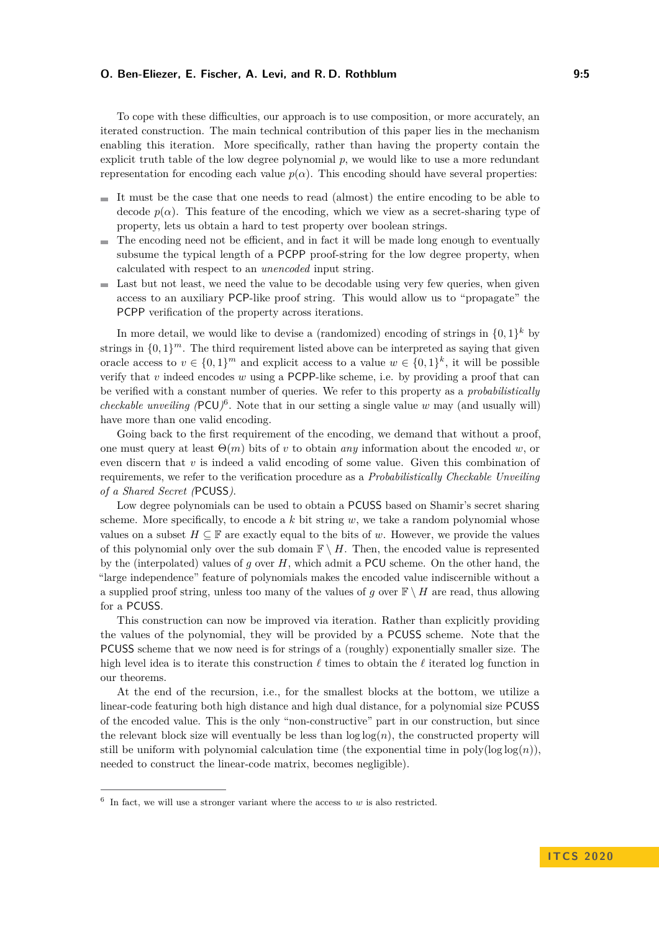To cope with these difficulties, our approach is to use composition, or more accurately, an iterated construction. The main technical contribution of this paper lies in the mechanism enabling this iteration. More specifically, rather than having the property contain the explicit truth table of the low degree polynomial *p*, we would like to use a more redundant representation for encoding each value  $p(\alpha)$ . This encoding should have several properties:

- It must be the case that one needs to read (almost) the entire encoding to be able to decode  $p(\alpha)$ . This feature of the encoding, which we view as a secret-sharing type of property, lets us obtain a hard to test property over boolean strings.
- The encoding need not be efficient, and in fact it will be made long enough to eventually  $\sim$ subsume the typical length of a PCPP proof-string for the low degree property, when calculated with respect to an *unencoded* input string.
- $\blacksquare$  Last but not least, we need the value to be decodable using very few queries, when given access to an auxiliary PCP-like proof string. This would allow us to "propagate" the PCPP verification of the property across iterations.

In more detail, we would like to devise a (randomized) encoding of strings in  $\{0,1\}^k$  by strings in  $\{0,1\}^m$ . The third requirement listed above can be interpreted as saying that given oracle access to  $v \in \{0,1\}^m$  and explicit access to a value  $w \in \{0,1\}^k$ , it will be possible verify that *v* indeed encodes *w* using a PCPP-like scheme, i.e. by providing a proof that can be verified with a constant number of queries. We refer to this property as a *probabilistically checkable unveiling* ( $PCU$ <sup>[6](#page-4-0)</sup>. Note that in our setting a single value *w* may (and usually will) have more than one valid encoding.

Going back to the first requirement of the encoding, we demand that without a proof, one must query at least Θ(*m*) bits of *v* to obtain *any* information about the encoded *w*, or even discern that  $v$  is indeed a valid encoding of some value. Given this combination of requirements, we refer to the verification procedure as a *Probabilistically Checkable Unveiling of a Shared Secret (*PCUSS*)*.

Low degree polynomials can be used to obtain a PCUSS based on Shamir's secret sharing scheme. More specifically, to encode a *k* bit string *w*, we take a random polynomial whose values on a subset  $H \subseteq \mathbb{F}$  are exactly equal to the bits of *w*. However, we provide the values of this polynomial only over the sub domain  $\mathbb{F} \setminus H$ . Then, the encoded value is represented by the (interpolated) values of *g* over *H*, which admit a PCU scheme. On the other hand, the "large independence" feature of polynomials makes the encoded value indiscernible without a a supplied proof string, unless too many of the values of *q* over  $\mathbb{F} \setminus H$  are read, thus allowing for a PCUSS.

This construction can now be improved via iteration. Rather than explicitly providing the values of the polynomial, they will be provided by a PCUSS scheme. Note that the PCUSS scheme that we now need is for strings of a (roughly) exponentially smaller size. The high level idea is to iterate this construction  $\ell$  times to obtain the  $\ell$  iterated log function in our theorems.

At the end of the recursion, i.e., for the smallest blocks at the bottom, we utilize a linear-code featuring both high distance and high dual distance, for a polynomial size PCUSS of the encoded value. This is the only "non-constructive" part in our construction, but since the relevant block size will eventually be less than  $\log \log(n)$ , the constructed property will still be uniform with polynomial calculation time (the exponential time in  $poly(log log(n))$ , needed to construct the linear-code matrix, becomes negligible).

<span id="page-4-0"></span> $6\;$  In fact, we will use a stronger variant where the access to  $w$  is also restricted.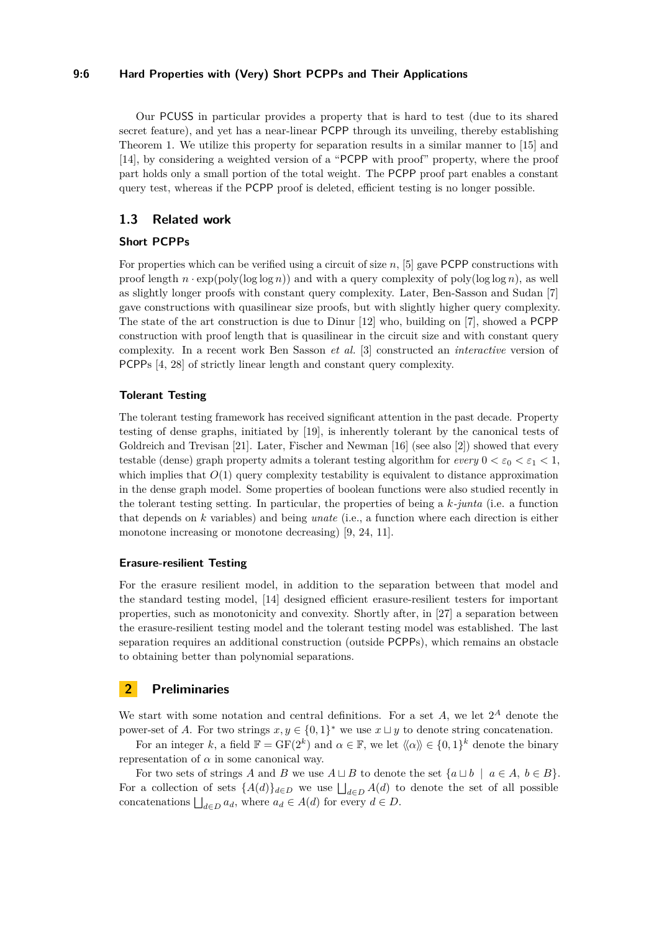#### **9:6 Hard Properties with (Very) Short PCPPs and Their Applications**

Our PCUSS in particular provides a property that is hard to test (due to its shared secret feature), and yet has a near-linear PCPP through its unveiling, thereby establishing Theorem [1.](#page-1-3) We utilize this property for separation results in a similar manner to [\[15\]](#page-25-9) and [\[14\]](#page-25-10), by considering a weighted version of a "PCPP with proof" property, where the proof part holds only a small portion of the total weight. The PCPP proof part enables a constant query test, whereas if the PCPP proof is deleted, efficient testing is no longer possible.

## **1.3 Related work**

#### **Short PCPPs**

For properties which can be verified using a circuit of size *n*, [\[5\]](#page-24-0) gave PCPP constructions with proof length  $n \cdot \exp(\text{poly}(\log \log n))$  and with a query complexity of poly $(\log \log n)$ , as well as slightly longer proofs with constant query complexity. Later, Ben-Sasson and Sudan [\[7\]](#page-25-2) gave constructions with quasilinear size proofs, but with slightly higher query complexity. The state of the art construction is due to Dinur [\[12\]](#page-25-1) who, building on [\[7\]](#page-25-2), showed a PCPP construction with proof length that is quasilinear in the circuit size and with constant query complexity. In a recent work Ben Sasson *et al.* [\[3\]](#page-24-3) constructed an *interactive* version of PCPPs [\[4,](#page-24-4) [28\]](#page-25-12) of strictly linear length and constant query complexity.

#### **Tolerant Testing**

The tolerant testing framework has received significant attention in the past decade. Property testing of dense graphs, initiated by [\[19\]](#page-25-13), is inherently tolerant by the canonical tests of Goldreich and Trevisan [\[21\]](#page-25-14). Later, Fischer and Newman [\[16\]](#page-25-4) (see also [\[2\]](#page-24-5)) showed that every testable (dense) graph property admits a tolerant testing algorithm for *every*  $0 < \varepsilon_0 < \varepsilon_1 < 1$ , which implies that  $O(1)$  query complexity testability is equivalent to distance approximation in the dense graph model. Some properties of boolean functions were also studied recently in the tolerant testing setting. In particular, the properties of being a *k-junta* (i.e. a function that depends on *k* variables) and being *unate* (i.e., a function where each direction is either monotone increasing or monotone decreasing) [\[9,](#page-25-8) [24,](#page-25-15) [11\]](#page-25-16).

## **Erasure-resilient Testing**

For the erasure resilient model, in addition to the separation between that model and the standard testing model, [\[14\]](#page-25-10) designed efficient erasure-resilient testers for important properties, such as monotonicity and convexity. Shortly after, in [\[27\]](#page-25-11) a separation between the erasure-resilient testing model and the tolerant testing model was established. The last separation requires an additional construction (outside PCPPs), which remains an obstacle to obtaining better than polynomial separations.

## **2 Preliminaries**

We start with some notation and central definitions. For a set  $A$ , we let  $2^A$  denote the power-set of *A*. For two strings  $x, y \in \{0, 1\}^*$  we use  $x \sqcup y$  to denote string concatenation.

For an integer k, a field  $\mathbb{F} = \text{GF}(2^k)$  and  $\alpha \in \mathbb{F}$ , we let  $\langle \alpha \rangle \rangle \in \{0,1\}^k$  denote the binary representation of  $\alpha$  in some canonical way.

For two sets of strings *A* and *B* we use  $A \sqcup B$  to denote the set  $\{a \sqcup b \mid a \in A, b \in B\}$ . For a collection of sets  $\{A(d)\}_{d\in D}$  we use  $\bigsqcup_{d\in D} A(d)$  to denote the set of all possible concatenations  $\bigsqcup_{d \in D} a_d$ , where  $a_d \in A(d)$  for every  $d \in D$ .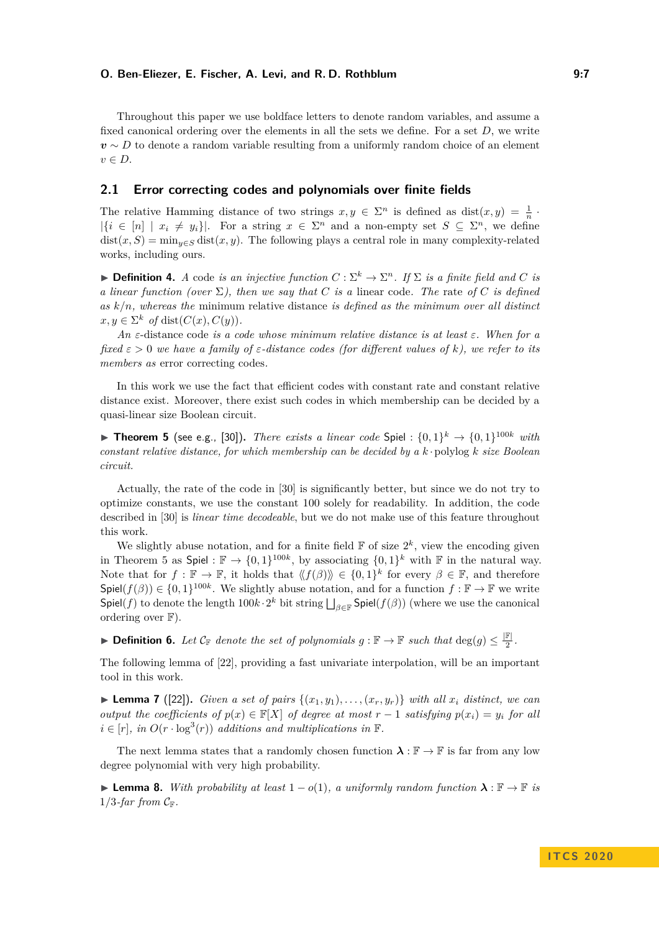Throughout this paper we use boldface letters to denote random variables, and assume a fixed canonical ordering over the elements in all the sets we define. For a set *D*, we write  $v \sim D$  to denote a random variable resulting from a uniformly random choice of an element *v* ∈ *D*.

## **2.1 Error correcting codes and polynomials over finite fields**

The relative Hamming distance of two strings  $x, y \in \Sigma^n$  is defined as  $dist(x, y) = \frac{1}{n}$ .  $|\{i \in [n] \mid x_i \neq y_i\}|$ . For a string  $x \in \Sigma^n$  and a non-empty set  $S \subseteq \Sigma^n$ , we define  $dist(x, S) = min_{y \in S} dist(x, y)$ . The following plays a central role in many complexity-related works, including ours.

**Definition 4.** *A* code *is an injective function*  $C : \Sigma^k \to \Sigma^n$ *. If*  $\Sigma$  *is a finite field and C is a linear function (over*  $\Sigma$ ), then we say that *C* is a linear code. The rate of *C* is defined *as k/n, whereas the* minimum relative distance *is defined as the minimum over all distinct*  $x, y \in \Sigma^k$  *of* dist $(C(x), C(y))$ .

*An ε*-distance code *is a code whose minimum relative distance is at least ε. When for a fixed ε >* 0 *we have a family of ε-distance codes (for different values of k), we refer to its members as* error correcting codes*.*

In this work we use the fact that efficient codes with constant rate and constant relative distance exist. Moreover, there exist such codes in which membership can be decided by a quasi-linear size Boolean circuit.

<span id="page-6-0"></span>**Find Theorem 5** (see e.g., [\[30\]](#page-26-2)). *There exists a linear code* Spiel :  $\{0,1\}^k \rightarrow \{0,1\}^{100k}$  *with constant relative distance, for which membership can be decided by a k* ·polylog *k size Boolean circuit.*

Actually, the rate of the code in [\[30\]](#page-26-2) is significantly better, but since we do not try to optimize constants, we use the constant 100 solely for readability. In addition, the code described in [\[30\]](#page-26-2) is *linear time decodeable*, but we do not make use of this feature throughout this work.

We slightly abuse notation, and for a finite field  $\mathbb F$  of size  $2^k$ , view the encoding given in Theorem [5](#page-6-0) as Spiel :  $\mathbb{F} \to \{0,1\}^{100k}$ , by associating  $\{0,1\}^k$  with  $\mathbb{F}$  in the natural way. Note that for  $f : \mathbb{F} \to \mathbb{F}$ , it holds that  $\langle\langle f(\beta)\rangle\rangle \in \{0,1\}^k$  for every  $\beta \in \mathbb{F}$ , and therefore  $\textsf{Spiel}(f(\beta)) \in \{0,1\}^{100k}$ . We slightly abuse notation, and for a function  $f : \mathbb{F} \to \mathbb{F}$  we write  $\mathsf{Spiel}(f)$  to denote the length  $100k \cdot 2^k$  bit string  $\bigsqcup_{\beta \in \mathbb{F}} \mathsf{Spiel}(f(\beta))$  (where we use the canonical ordering over  $F$ ).

**Definition 6.** Let  $\mathcal{C}_{\mathbb{F}}$  denote the set of polynomials  $g : \mathbb{F} \to \mathbb{F}$  such that  $\deg(g) \leq \frac{|\mathbb{F}|}{2}$  $\frac{\mathbb{r}_\perp}{2}$ .

The following lemma of [\[22\]](#page-25-17), providing a fast univariate interpolation, will be an important tool in this work.

<span id="page-6-1"></span> $\blacktriangleright$  **Lemma 7** ([\[22\]](#page-25-17)). *Given a set of pairs*  $\{(x_1, y_1), \ldots, (x_r, y_r)\}$  *with all*  $x_i$  *distinct, we can output the coefficients of*  $p(x) \in \mathbb{F}[X]$  *of degree at most*  $r - 1$  *satisfying*  $p(x_i) = y_i$  *for all*  $i \in [r]$ , in  $O(r \cdot \log^3(r))$  additions and multiplications in  $\mathbb{F}$ .

The next lemma states that a randomly chosen function  $\lambda : \mathbb{F} \to \mathbb{F}$  is far from any low degree polynomial with very high probability.

<span id="page-6-2"></span>**► Lemma 8.** *With probability at least*  $1 - o(1)$ *, a uniformly random function*  $\lambda : \mathbb{F} \to \mathbb{F}$  *is*  $1/3$ *-far from*  $C_F$ *.*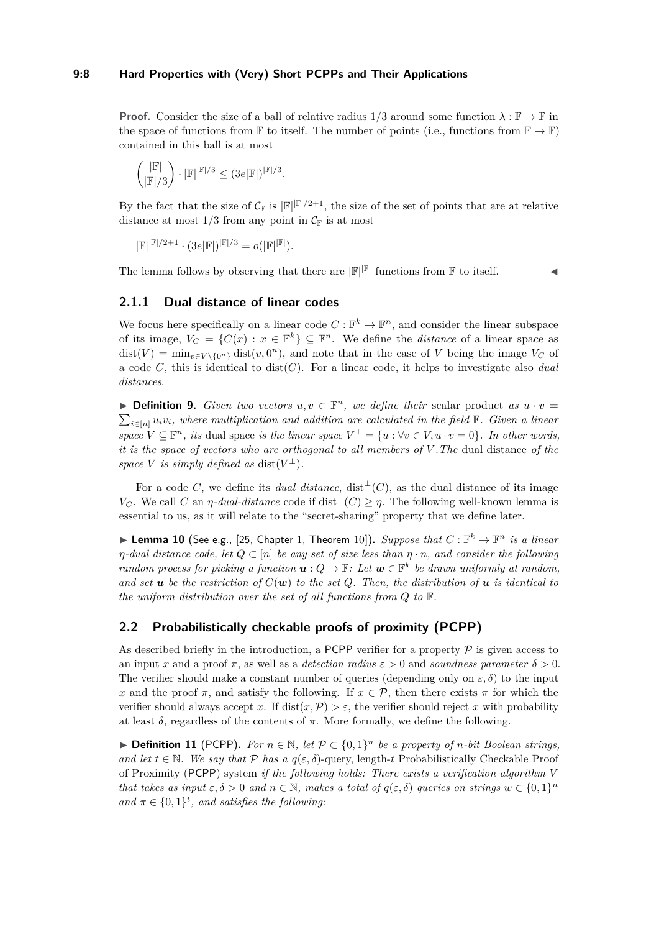#### **9:8 Hard Properties with (Very) Short PCPPs and Their Applications**

**Proof.** Consider the size of a ball of relative radius  $1/3$  around some function  $\lambda : \mathbb{F} \to \mathbb{F}$  in the space of functions from F to itself. The number of points (i.e., functions from  $\mathbb{F} \to \mathbb{F}$ ) contained in this ball is at most

$$
\binom{|\mathbb{F}|}{|\mathbb{F}|/3}\cdot|\mathbb{F}|^{|\mathbb{F}|/3}\leq (3e|\mathbb{F}|)^{|\mathbb{F}|/3}.
$$

By the fact that the size of  $\mathcal{C}_{\mathbb{F}}$  is  $|\mathbb{F}|^{|\mathbb{F}|/2+1}$ , the size of the set of points that are at relative distance at most  $1/3$  from any point in  $\mathcal{C}_{\mathbb{F}}$  is at most

 $|\mathbb{F}|^{|\mathbb{F}|/2+1} \cdot (3e|\mathbb{F}|)^{|\mathbb{F}|/3} = o(|\mathbb{F}|^{|\mathbb{F}|}).$ 

The lemma follows by observing that there are  $\mathbb{F}^{\|\mathbb{F}|}$  functions from  $\mathbb F$  to itself.

## **2.1.1 Dual distance of linear codes**

We focus here specifically on a linear code  $C : \mathbb{F}^k \to \mathbb{F}^n$ , and consider the linear subspace of its image,  $V_C = \{C(x) : x \in \mathbb{F}^k\} \subseteq \mathbb{F}^n$ . We define the *distance* of a linear space as  $dist(V) = min_{v \in V \setminus \{0^n\}} dist(v, 0^n)$ , and note that in the case of *V* being the image  $V_C$  of a code *C*, this is identical to dist(*C*). For a linear code, it helps to investigate also *dual distances*.

**Definition 9.** *Given two vectors*  $u, v \in \mathbb{F}^n$ , we define their scalar product as  $u \cdot v =$  $\sum_{i \in [n]} u_i v_i$ , where multiplication and addition are calculated in the field  $\mathbb{F}$ . Given a linear *space*  $V \subseteq \mathbb{F}^n$ , *its* dual space *is the linear space*  $V^{\perp} = \{u : \forall v \in V, u \cdot v = 0\}$ *. In other words, it is the space of vectors who are orthogonal to all members of V .The* dual distance *of the space V is simply defined as* dist $(V^{\perp})$ *.* 

For a code *C*, we define its *dual distance*, dist<sup>⊥</sup>(*C*), as the dual distance of its image *V<sub>C</sub>*. We call *C* an *η*-*dual-distance* code if dist<sup> $\perp$ </sup>(*C*) ≥ *η*. The following well-known lemma is essential to us, as it will relate to the "secret-sharing" property that we define later.

<span id="page-7-0"></span>**I Lemma 10** (See e.g., [\[25,](#page-25-18) Chapter 1, Theorem 10]). *Suppose that*  $C : \mathbb{F}^k \to \mathbb{F}^n$  *is a linear η-dual distance code, let*  $Q \subset [n]$  *be any set of size less than*  $η · n$ *, and consider the following random process for picking a function*  $u: Q \to \mathbb{F}$ : Let  $w \in \mathbb{F}^k$  be drawn uniformly at random, and set **u** be the restriction of  $C(\mathbf{w})$  to the set Q. Then, the distribution of **u** is identical to *the uniform distribution over the set of all functions from Q to* F*.*

## <span id="page-7-1"></span>**2.2 Probabilistically checkable proofs of proximity (PCPP)**

As described briefly in the introduction, a PCPP verifier for a property  $P$  is given access to an input x and a proof  $\pi$ , as well as a *detection radius*  $\varepsilon > 0$  and *soundness parameter*  $\delta > 0$ . The verifier should make a constant number of queries (depending only on  $\varepsilon$ ,  $\delta$ ) to the input *x* and the proof  $\pi$ , and satisfy the following. If  $x \in \mathcal{P}$ , then there exists  $\pi$  for which the verifier should always accept x. If  $dist(x, \mathcal{P}) > \varepsilon$ , the verifier should reject x with probability at least  $\delta$ , regardless of the contents of  $\pi$ . More formally, we define the following.

▶ **Definition 11** (PCPP). For  $n \in \mathbb{N}$ , let  $P \subset \{0,1\}^n$  be a property of *n*-bit Boolean strings, *and let*  $t \in \mathbb{N}$ *. We say that*  $\mathcal{P}$  *has a*  $q(\varepsilon, \delta)$ -query, length-*t* Probabilistically Checkable Proof of Proximity (PCPP) system *if the following holds: There exists a verification algorithm V that takes as input*  $\varepsilon, \delta > 0$  *and*  $n \in \mathbb{N}$ , makes a total of  $q(\varepsilon, \delta)$  queries on strings  $w \in \{0, 1\}^n$ and  $\pi \in \{0,1\}^t$ , and satisfies the following: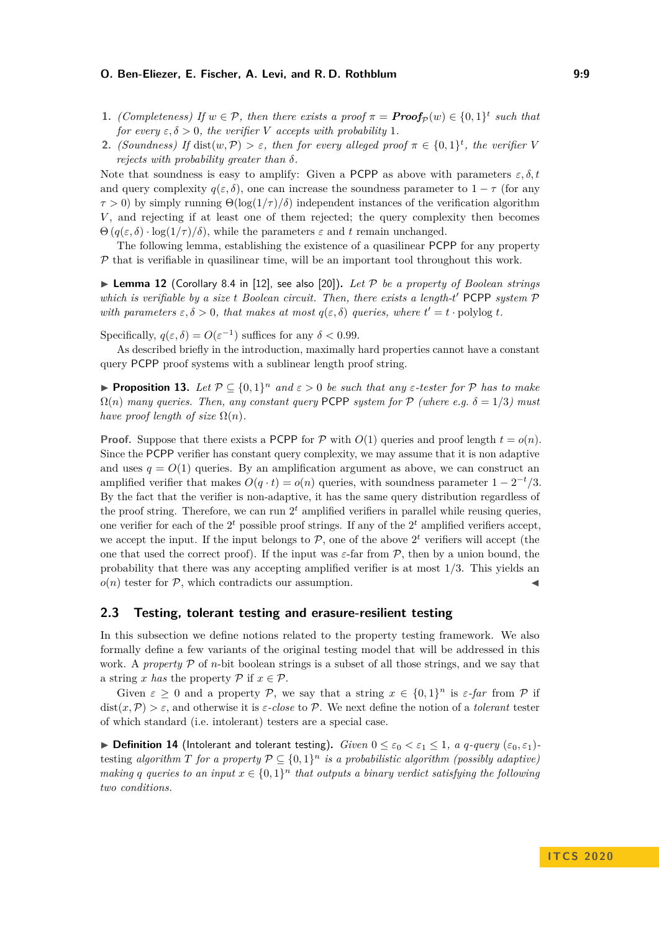- **1.** *(Completeness)* If  $w \in \mathcal{P}$ , then there exists a proof  $\pi = \text{Proof}_{\mathcal{P}}(w) \in \{0,1\}^t$  such that *for every*  $\varepsilon, \delta > 0$ *, the verifier V accepts with probability* 1*.*
- **2.** *(Soundness)* If dist $(w, \mathcal{P}) > \varepsilon$ , then for every alleged proof  $\pi \in \{0, 1\}^t$ , the verifier V *rejects with probability greater than δ.*

Note that soundness is easy to amplify: Given a PCPP as above with parameters  $\varepsilon, \delta, t$ and query complexity  $q(\varepsilon, \delta)$ , one can increase the soundness parameter to  $1 - \tau$  (for any  $\tau > 0$ ) by simply running  $\Theta(\log(1/\tau)/\delta)$  independent instances of the verification algorithm *V* , and rejecting if at least one of them rejected; the query complexity then becomes  $\Theta(q(\varepsilon,\delta) \cdot \log(1/\tau)/\delta)$ , while the parameters  $\varepsilon$  and  $t$  remain unchanged.

The following lemma, establishing the existence of a quasilinear PCPP for any property  $P$  that is verifiable in quasilinear time, will be an important tool throughout this work.

<span id="page-8-1"></span> $\triangleright$  **Lemma 12** (Corollary 8.4 in [\[12\]](#page-25-1), see also [\[20\]](#page-25-19)). Let P be a property of Boolean strings *which is verifiable by a size t Boolean circuit. Then, there exists a length-t'* PCPP *system*  $P$ *with parameters*  $\varepsilon, \delta > 0$ *, that makes at most*  $q(\varepsilon, \delta)$  *queries, where*  $t' = t \cdot \text{polylog } t$ *.* 

Specifically,  $q(\varepsilon, \delta) = O(\varepsilon^{-1})$  suffices for any  $\delta < 0.99$ .

As described briefly in the introduction, maximally hard properties cannot have a constant query PCPP proof systems with a sublinear length proof string.

<span id="page-8-0"></span>**Proposition 13.** Let  $P \subseteq \{0,1\}^n$  and  $\varepsilon > 0$  be such that any  $\varepsilon$ -tester for P has to make  $\Omega(n)$  *many queries. Then, any constant query* PCPP *system for*  $P$  *(where e.g.*  $\delta = 1/3$ *) must have proof length of size*  $\Omega(n)$ *.* 

**Proof.** Suppose that there exists a PCPP for P with  $O(1)$  queries and proof length  $t = o(n)$ . Since the PCPP verifier has constant query complexity, we may assume that it is non adaptive and uses  $q = O(1)$  queries. By an amplification argument as above, we can construct an amplified verifier that makes  $O(q \cdot t) = o(n)$  queries, with soundness parameter  $1 - 2^{-t}/3$ . By the fact that the verifier is non-adaptive, it has the same query distribution regardless of the proof string. Therefore, we can run  $2<sup>t</sup>$  amplified verifiers in parallel while reusing queries, one verifier for each of the  $2<sup>t</sup>$  possible proof strings. If any of the  $2<sup>t</sup>$  amplified verifiers accept, we accept the input. If the input belongs to  $P$ , one of the above  $2<sup>t</sup>$  verifiers will accept (the one that used the correct proof). If the input was *ε*-far from P, then by a union bound, the probability that there was any accepting amplified verifier is at most 1*/*3. This yields an  $o(n)$  tester for  $P$ , which contradicts our assumption.

## **2.3 Testing, tolerant testing and erasure-resilient testing**

In this subsection we define notions related to the property testing framework. We also formally define a few variants of the original testing model that will be addressed in this work. A *property*  $P$  of *n*-bit boolean strings is a subset of all those strings, and we say that a string *x* has the property  $P$  if  $x \in P$ .

Given  $\varepsilon \geq 0$  and a property P, we say that a string  $x \in \{0,1\}^n$  is  $\varepsilon$ -far from P if dist $(x, P) > \varepsilon$ , and otherwise it is  $\varepsilon$ -close to P. We next define the notion of a *tolerant* tester of which standard (i.e. intolerant) testers are a special case.

 $\blacktriangleright$  **Definition 14** (Intolerant and tolerant testing). *Given*  $0 \leq \varepsilon_0 < \varepsilon_1 \leq 1$ , *a q-query*  $(\varepsilon_0, \varepsilon_1)$ testing algorithm  $T$  for a property  $P \subseteq \{0,1\}^n$  is a probabilistic algorithm (possibly adaptive) *making q queries to an input*  $x \in \{0,1\}^n$  *that outputs a binary verdict satisfying the following two conditions.*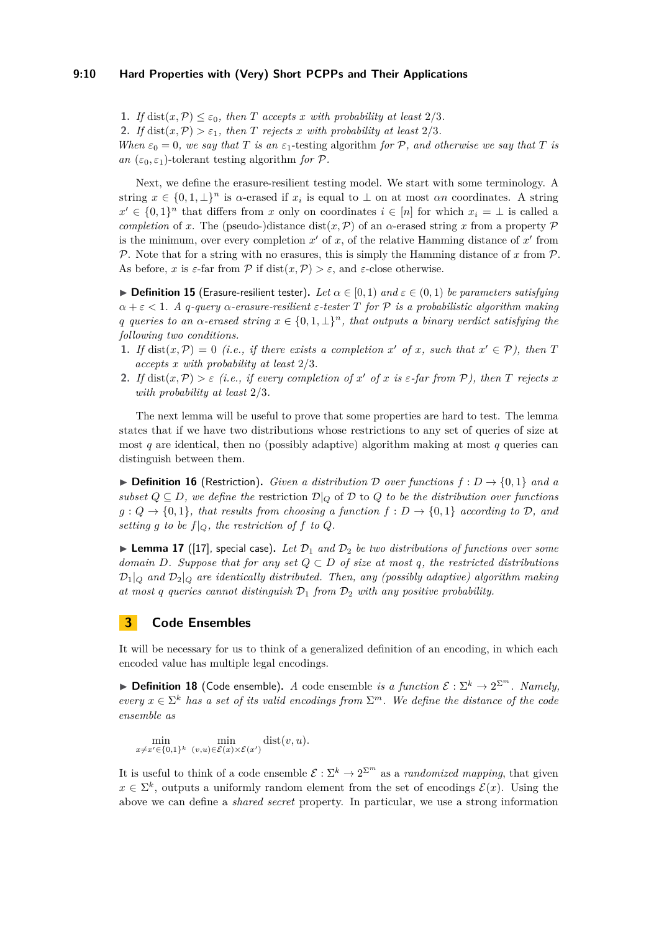#### **9:10 Hard Properties with (Very) Short PCPPs and Their Applications**

**1.** *If* dist $(x, P) \leq \varepsilon_0$ , then *T* accepts *x* with probability at least 2/3. **2.** *If* dist $(x, P) > \varepsilon_1$ *, then T rejects x with probability at least* 2/3*. When*  $\varepsilon_0 = 0$ , we say that *T* is an  $\varepsilon_1$ -testing algorithm for  $P$ , and otherwise we say that *T* is *an*  $(\varepsilon_0, \varepsilon_1)$ -tolerant testing algorithm for P.

Next, we define the erasure-resilient testing model. We start with some terminology. A string  $x \in \{0, 1, \perp\}^n$  is  $\alpha$ -erased if  $x_i$  is equal to  $\perp$  on at most  $\alpha n$  coordinates. A string  $x' \in \{0,1\}^n$  that differs from *x* only on coordinates  $i \in [n]$  for which  $x_i = \perp$  is called a *completion* of *x*. The (pseudo-)distance dist(*x*,  $\mathcal{P}$ ) of an  $\alpha$ -erased string *x* from a property  $\mathcal{P}$ is the minimum, over every completion  $x'$  of  $x$ , of the relative Hamming distance of  $x'$  from P. Note that for a string with no erasures, this is simply the Hamming distance of x from  $\mathcal{P}$ . As before, *x* is  $\varepsilon$ -far from  $\mathcal P$  if  $dist(x, \mathcal P) > \varepsilon$ , and  $\varepsilon$ -close otherwise.

 $▶$  **Definition 15** (Erasure-resilient tester). Let  $α ∈ [0,1)$  and  $ε ∈ (0,1)$  be parameters satisfying *α* + *ε <* 1*. A q-query α-erasure-resilient ε-tester T for* P *is a probabilistic algorithm making q queries to an*  $\alpha$ *-erased string*  $x \in \{0, 1, \perp\}^n$ *, that outputs a binary verdict satisfying the following two conditions.*

- **1.** If dist $(x, \mathcal{P}) = 0$  *(i.e., if there exists a completion x*<sup>*'*</sup> *of x, such that*  $x' \in \mathcal{P}$ *), then T accepts x with probability at least* 2*/*3*.*
- **2.** *If* dist $(x, \mathcal{P}) > \varepsilon$  *(i.e., if every completion of*  $x'$  *of*  $x$  *is*  $\varepsilon$ *-far from*  $\mathcal{P}$ *), then*  $T$  *rejects*  $x$ *with probability at least* 2*/*3*.*

The next lemma will be useful to prove that some properties are hard to test. The lemma states that if we have two distributions whose restrictions to any set of queries of size at most *q* are identical, then no (possibly adaptive) algorithm making at most *q* queries can distinguish between them.

**► Definition 16** (Restriction). *Given a distribution*  $\mathcal{D}$  *over functions*  $f : D \rightarrow \{0, 1\}$  *and a subset*  $Q \subseteq D$ *, we define the restriction*  $D|_Q$  of D to Q to be the distribution over functions  $g: Q \to \{0,1\}$ , that results from choosing a function  $f: D \to \{0,1\}$  according to  $D$ , and *setting g to be*  $f|_Q$ *, the restriction of f to Q.* 

<span id="page-9-0"></span>**Lemma 17** ([\[17\]](#page-25-20), special case). Let  $\mathcal{D}_1$  and  $\mathcal{D}_2$  be two distributions of functions over some *domain D. Suppose that for any set*  $Q \subset D$  *of size at most q, the restricted distributions*  $\mathcal{D}_1|_O$  *and*  $\mathcal{D}_2|_O$  *are identically distributed. Then, any (possibly adaptive) algorithm making at most q queries cannot distinguish*  $D_1$  *from*  $D_2$  *with any positive probability.* 

## **3 Code Ensembles**

It will be necessary for us to think of a generalized definition of an encoding, in which each encoded value has multiple legal encodings.

**Definition 18** (Code ensemble). *A* code ensemble *is a function*  $\mathcal{E}: \Sigma^k \to 2^{\Sigma^m}$ . Namely, *every*  $x \in \Sigma^k$  *has a set of its valid encodings from*  $\Sigma^m$ *. We define the distance of the code ensemble as*

 $\min_{x \neq x' \in \{0,1\}^k} \min_{(v,u) \in \mathcal{E}(x) \times \mathcal{E}(x')} \text{dist}(v, u).$ 

It is useful to think of a code ensemble  $\mathcal{E}: \Sigma^k \to 2^{\Sigma^m}$  as a *randomized mapping*, that given  $x \in \Sigma^k$ , outputs a uniformly random element from the set of encodings  $\mathcal{E}(x)$ . Using the above we can define a *shared secret* property. In particular, we use a strong information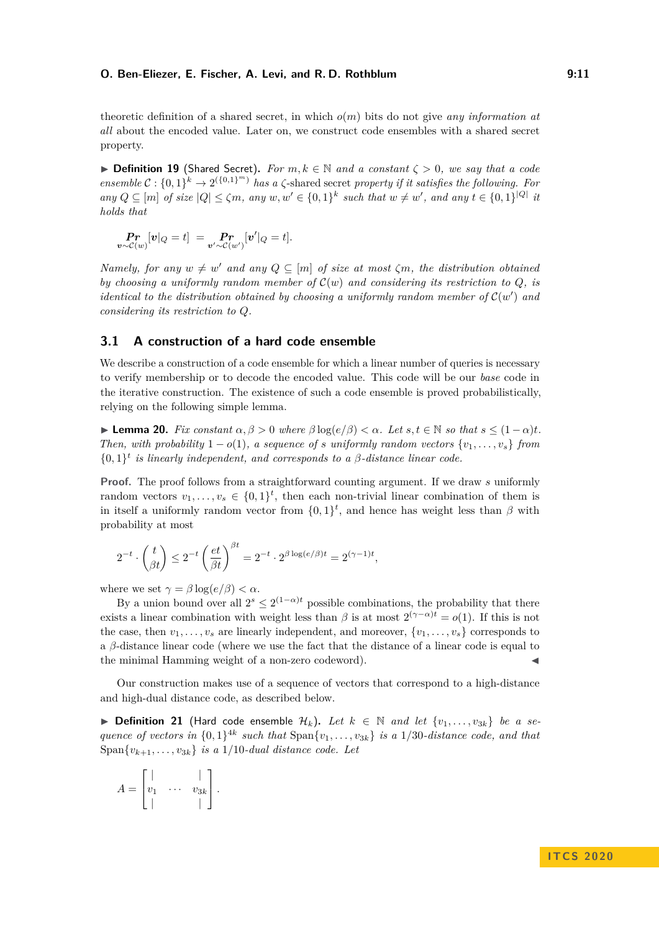theoretic definition of a shared secret, in which *o*(*m*) bits do not give *any information at all* about the encoded value. Later on, we construct code ensembles with a shared secret property.

**► Definition 19** (Shared Secret). For  $m, k \in \mathbb{N}$  and a constant  $\zeta > 0$ , we say that a code *ensemble*  $C: \{0,1\}^k \to 2^{(\{0,1\}^m)}$  *has a*  $\zeta$ -shared secret *property if it satisfies the following. For any*  $Q \subseteq [m]$  *of size*  $|Q| \leq \zeta m$ , *any*  $w, w' \in \{0, 1\}^k$  *such that*  $w \neq w'$ , *and any*  $t \in \{0, 1\}^{|Q|}$  *it holds that*

$$
\Pr_{\boldsymbol{v} \sim \mathcal{C}(w)}[\boldsymbol{v}|_Q = t] = \Pr_{\boldsymbol{v}' \sim \mathcal{C}(w')}[\boldsymbol{v}'|_Q = t].
$$

*Namely, for any*  $w \neq w'$  *and any*  $Q \subseteq [m]$  *of size at most*  $\zeta m$ *, the distribution obtained by choosing a uniformly random member of*  $\mathcal{C}(w)$  *and considering its restriction to*  $Q$ *, is identical to the distribution obtained by choosing a uniformly random member of*  $\mathcal{C}(w')$  and *considering its restriction to Q.*

## **3.1 A construction of a hard code ensemble**

We describe a construction of a code ensemble for which a linear number of queries is necessary to verify membership or to decode the encoded value. This code will be our *base* code in the iterative construction. The existence of such a code ensemble is proved probabilistically, relying on the following simple lemma.

<span id="page-10-0"></span> $\blacktriangleright$  **Lemma 20.** *Fix constant*  $\alpha, \beta > 0$  *where*  $\beta \log(e/\beta) < \alpha$ *. Let s*, *t* ∈ *N so that*  $s \leq (1 - \alpha)t$ *. Then, with probability*  $1 - o(1)$ *, a sequence of s uniformly random vectors*  $\{v_1, \ldots, v_s\}$  *from*  $\{0,1\}^t$  *is linearly independent, and corresponds to a*  $\beta$ *-distance linear code.* 

**Proof.** The proof follows from a straightforward counting argument. If we draw s uniformly random vectors  $v_1, \ldots, v_s \in \{0,1\}^t$ , then each non-trivial linear combination of them is in itself a uniformly random vector from  $\{0,1\}^t$ , and hence has weight less than  $\beta$  with probability at most

$$
2^{-t} \cdot \binom{t}{\beta t} \le 2^{-t} \left(\frac{et}{\beta t}\right)^{\beta t} = 2^{-t} \cdot 2^{\beta \log(e/\beta)t} = 2^{(\gamma - 1)t},
$$

where we set  $\gamma = \beta \log(e/\beta) < \alpha$ .

By a union bound over all  $2^s \leq 2^{(1-\alpha)t}$  possible combinations, the probability that there exists a linear combination with weight less than  $\beta$  is at most  $2^{(\gamma-\alpha)t} = o(1)$ . If this is not the case, then  $v_1, \ldots, v_s$  are linearly independent, and moreover,  $\{v_1, \ldots, v_s\}$  corresponds to a *β*-distance linear code (where we use the fact that the distance of a linear code is equal to the minimal Hamming weight of a non-zero codeword).

Our construction makes use of a sequence of vectors that correspond to a high-distance and high-dual distance code, as described below.

<span id="page-10-1"></span>▶ **Definition 21** (Hard code ensemble  $\mathcal{H}_k$ ). Let  $k \in \mathbb{N}$  and let  $\{v_1, \ldots, v_{3k}\}\$  be a se*quence of vectors in*  $\{0,1\}^{4k}$  *such that*  $\text{Span}\{v_1, \ldots, v_{3k}\}\$  *is a* 1/30*-distance code, and that* Span $\{v_{k+1}, \ldots, v_{3k}\}\$ is a 1/10*-dual distance code. Let* 

$$
A = \begin{bmatrix} | & & | \\ v_1 & \cdots & v_{3k} \\ | & & | \end{bmatrix}.
$$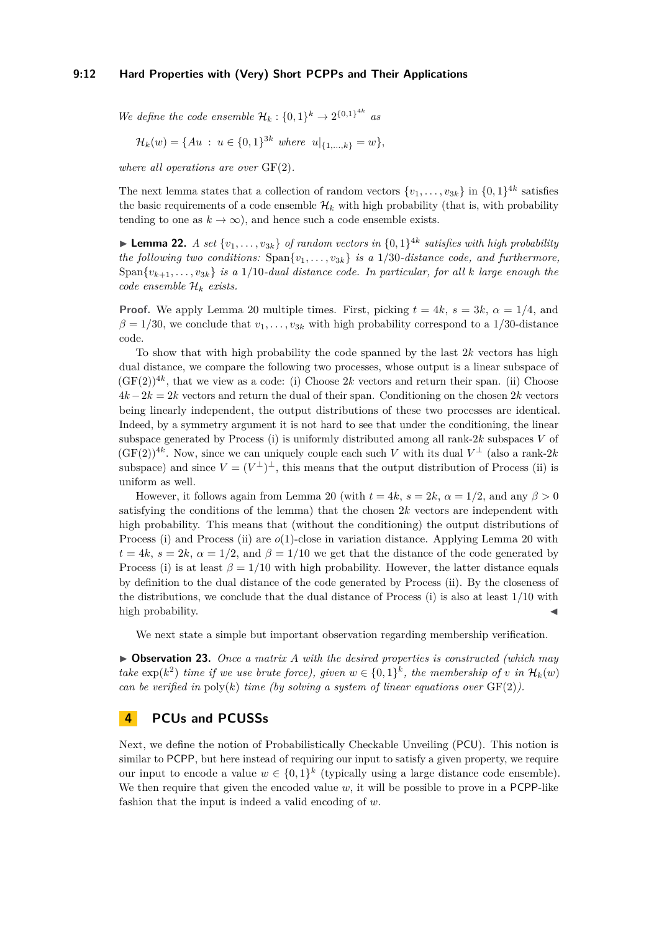*We define the code ensemble*  $\mathcal{H}_k : \{0,1\}^k \to 2^{\{0,1\}^{4k}}$  as

$$
\mathcal{H}_k(w) = \{Au : u \in \{0,1\}^{3k} \text{ where } u|_{\{1,\ldots,k\}} = w\},
$$

*where all operations are over* GF(2)*.*

The next lemma states that a collection of random vectors  $\{v_1, \ldots, v_{3k}\}\$ in  $\{0, 1\}^{4k}$  satisfies the basic requirements of a code ensemble  $\mathcal{H}_k$  with high probability (that is, with probability tending to one as  $k \to \infty$ ), and hence such a code ensemble exists.

**Lemma 22.** *A set*  $\{v_1, \ldots, v_{3k}\}$  *of random vectors in*  $\{0, 1\}^{4k}$  *satisfies with high probability the following two conditions:*  $Span\{v_1, \ldots, v_{3k}\}\$ is a 1/30*-distance code, and furthermore,* Span $\{v_{k+1}, \ldots, v_{3k}\}\$ is a 1/10-dual distance code. In particular, for all *k* large enough the *code ensemble* H*<sup>k</sup> exists.*

**Proof.** We apply Lemma [20](#page-10-0) multiple times. First, picking  $t = 4k$ ,  $s = 3k$ ,  $\alpha = 1/4$ , and  $\beta = 1/30$ , we conclude that  $v_1, \ldots, v_{3k}$  with high probability correspond to a 1/30-distance code.

To show that with high probability the code spanned by the last 2*k* vectors has high dual distance, we compare the following two processes, whose output is a linear subspace of  $(GF(2))^{4k}$ , that we view as a code: (i) Choose 2k vectors and return their span. (ii) Choose 4*k*−2*k* = 2*k* vectors and return the dual of their span. Conditioning on the chosen 2*k* vectors being linearly independent, the output distributions of these two processes are identical. Indeed, by a symmetry argument it is not hard to see that under the conditioning, the linear subspace generated by Process (i) is uniformly distributed among all rank-2*k* subspaces *V* of  $(GF(2))^{4k}$ . Now, since we can uniquely couple each such *V* with its dual  $V^{\perp}$  (also a rank-2*k* subspace) and since  $V = (V^{\perp})^{\perp}$ , this means that the output distribution of Process (ii) is uniform as well.

However, it follows again from Lemma [20](#page-10-0) (with  $t = 4k$ ,  $s = 2k$ ,  $\alpha = 1/2$ , and any  $\beta > 0$ satisfying the conditions of the lemma) that the chosen 2*k* vectors are independent with high probability. This means that (without the conditioning) the output distributions of Process (i) and Process (ii) are *o*(1)-close in variation distance. Applying Lemma [20](#page-10-0) with  $t = 4k$ ,  $s = 2k$ ,  $\alpha = 1/2$ , and  $\beta = 1/10$  we get that the distance of the code generated by Process (i) is at least  $\beta = 1/10$  with high probability. However, the latter distance equals by definition to the dual distance of the code generated by Process (ii). By the closeness of the distributions, we conclude that the dual distance of Process (i) is also at least 1*/*10 with high probability.

We next state a simple but important observation regarding membership verification.

<span id="page-11-1"></span>I **Observation 23.** *Once a matrix A with the desired properties is constructed (which may take*  $\exp(k^2)$  *time if we use brute force), given*  $w \in \{0,1\}^k$ , *the membership of v in*  $\mathcal{H}_k(w)$ *can be verified in* poly(*k*) *time (by solving a system of linear equations over*  $GF(2)$ *).* 

## <span id="page-11-0"></span>**4 PCUs and PCUSSs**

Next, we define the notion of Probabilistically Checkable Unveiling (PCU). This notion is similar to PCPP, but here instead of requiring our input to satisfy a given property, we require our input to encode a value  $w \in \{0,1\}^k$  (typically using a large distance code ensemble). We then require that given the encoded value  $w$ , it will be possible to prove in a PCPP-like fashion that the input is indeed a valid encoding of *w*.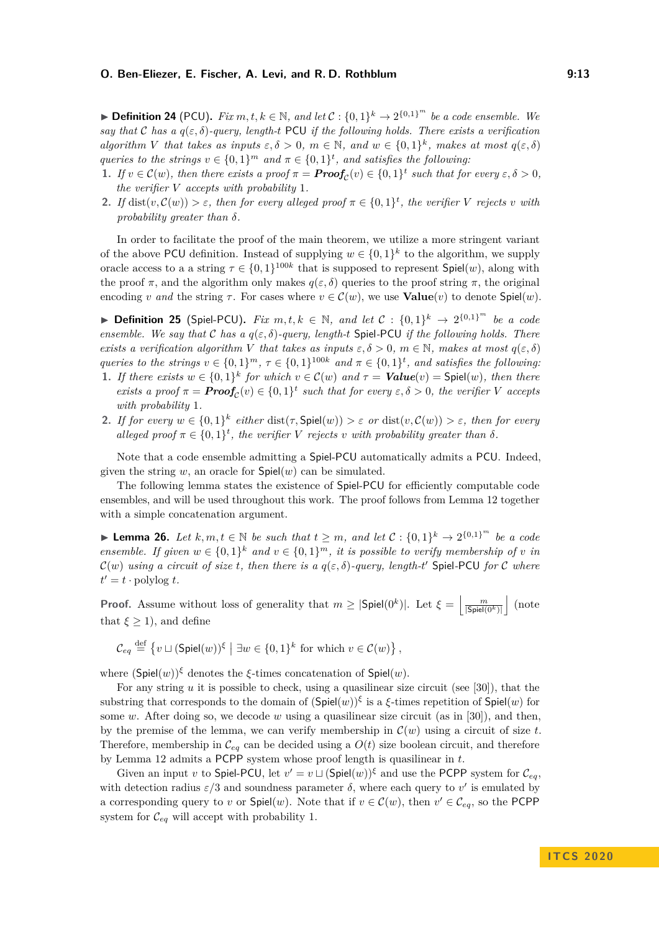▶ **Definition 24** (PCU). *Fix*  $m, t, k \in \mathbb{N}$ , and let  $C$  :  $\{0, 1\}^k \rightarrow 2^{\{0, 1\}^m}$  be a code ensemble. We *say that* C *has a*  $q(\varepsilon, \delta)$ -query, length-t PCU *if the following holds. There exists a verification algorithm V that takes as inputs*  $\varepsilon, \delta > 0$ ,  $m \in \mathbb{N}$ , and  $w \in \{0, 1\}^k$ , makes at most  $q(\varepsilon, \delta)$ *queries to the strings*  $v \in \{0,1\}^m$  *and*  $\pi \in \{0,1\}^t$ , *and satisfies the following*:

- **1.** *If*  $v \in \mathcal{C}(w)$ , then there exists a proof  $\pi = \text{Proof}_{\mathcal{C}}(v) \in \{0,1\}^t$  such that for every  $\varepsilon, \delta > 0$ , *the verifier V accepts with probability* 1*.*
- **2.** *If* dist $(v, \mathcal{C}(w)) > \varepsilon$ , then for every alleged proof  $\pi \in \{0,1\}^t$ , the verifier *V* rejects *v* with *probability greater than δ.*

In order to facilitate the proof of the main theorem, we utilize a more stringent variant of the above PCU definition. Instead of supplying  $w \in \{0,1\}^k$  to the algorithm, we supply oracle access to a a string  $\tau \in \{0,1\}^{100k}$  that is supposed to represent  $\mathsf{Spiel}(w)$ , along with the proof  $\pi$ , and the algorithm only makes  $q(\varepsilon, \delta)$  queries to the proof string  $\pi$ , the original encoding *v* and the string  $\tau$ . For cases where  $v \in C(w)$ , we use **Value** $(v)$  to denote Spiel $(w)$ .

<span id="page-12-1"></span>▶ **Definition 25** (Spiel-PCU). *Fix*  $m, t, k \in \mathbb{N}$ , and let  $C : \{0, 1\}^k \rightarrow 2^{\{0, 1\}^m}$  be a code *ensemble. We say that* C *has a q*(*ε, δ*)*-query, length-t* Spiel*-*PCU *if the following holds. There exists a verification algorithm V that takes as inputs*  $\varepsilon, \delta > 0$ *, m*  $\in \mathbb{N}$ *, makes at most*  $q(\varepsilon, \delta)$ *queries to the strings*  $v \in \{0,1\}^m$ ,  $\tau \in \{0,1\}^{100k}$  and  $\pi \in \{0,1\}^t$ , and satisfies the following:

- **1.** If there exists  $w \in \{0,1\}^k$  for which  $v \in \mathcal{C}(w)$  and  $\tau =$  **Value** $(v)$  = Spiel $(w)$ *, then there exists a proof*  $\pi = \text{Proof}_{\mathcal{C}}(v) \in \{0,1\}^t$  such that for every  $\varepsilon, \delta > 0$ , the verifier *V* accepts *with probability* 1*.*
- **2.** *If for every*  $w \in \{0,1\}^k$  *either* dist( $\tau$ , Spiel( $w$ ))  $> \varepsilon$  *or* dist( $v$ ,  $\mathcal{C}(w)$ )  $> \varepsilon$ *, then for every alleged proof*  $\pi \in \{0,1\}^t$ , the verifier *V* rejects *v* with probability greater than  $\delta$ .

Note that a code ensemble admitting a Spiel-PCU automatically admits a PCU. Indeed, given the string  $w$ , an oracle for  $\textsf{Spiel}(w)$  can be simulated.

The following lemma states the existence of Spiel-PCU for efficiently computable code ensembles, and will be used throughout this work. The proof follows from Lemma [12](#page-8-1) together with a simple concatenation argument.

<span id="page-12-0"></span>▶ **Lemma 26.** *Let*  $k, m, t \in \mathbb{N}$  *be such that*  $t \geq m$ *, and let*  $C : \{0, 1\}^k \rightarrow 2^{\{0, 1\}^m}$  *be a code ensemble. If given*  $w \in \{0,1\}^k$  *and*  $v \in \{0,1\}^m$ *, it is possible to verify membership of v in*  $\mathcal{C}(w)$  *using a circuit of size t, then there is a*  $q(\varepsilon, \delta)$ *-query, length-t*' Spiel-PCU for C *where*  $t' = t \cdot \text{polylog } t$ .

**Proof.** Assume without loss of generality that  $m \geq |\mathsf{Spiel}(0^k)|$ . Let  $\xi = \left|\frac{m}{|\mathsf{Spiel}(0^k)|}\right|$  (note that  $\xi \geq 1$ , and define

$$
\mathcal{C}_{eq} \stackrel{\text{def}}{=} \{v \sqcup (\mathsf{Spiel}(w))^{\xi} \mid \exists w \in \{0,1\}^k \text{ for which } v \in \mathcal{C}(w)\},
$$

where  $(\textsf{Spiel}(w))^{\xi}$  denotes the *ξ*-times concatenation of  $\textsf{Spiel}(w)$ .

For any string *u* it is possible to check, using a quasilinear size circuit (see [\[30\]](#page-26-2)), that the substring that corresponds to the domain of (Spiel(*w*))*<sup>ξ</sup>* is a *ξ*-times repetition of Spiel(*w*) for some *w*. After doing so, we decode *w* using a quasilinear size circuit (as in [\[30\]](#page-26-2)), and then, by the premise of the lemma, we can verify membership in  $\mathcal{C}(w)$  using a circuit of size  $t$ . Therefore, membership in  $\mathcal{C}_{eq}$  can be decided using a  $O(t)$  size boolean circuit, and therefore by Lemma [12](#page-8-1) admits a PCPP system whose proof length is quasilinear in *t*.

Given an input *v* to Spiel-PCU, let  $v' = v \sqcup (\text{Spiel}(w))^{\xi}$  and use the PCPP system for  $\mathcal{C}_{eq}$ , with detection radius  $\varepsilon/3$  and soundness parameter  $\delta$ , where each query to  $v'$  is emulated by a corresponding query to *v* or  $\textsf{Spiel}(w)$ . Note that if  $v \in \mathcal{C}(w)$ , then  $v' \in \mathcal{C}_{eq}$ , so the PCPP system for  $\mathcal{C}_{ea}$  will accept with probability 1.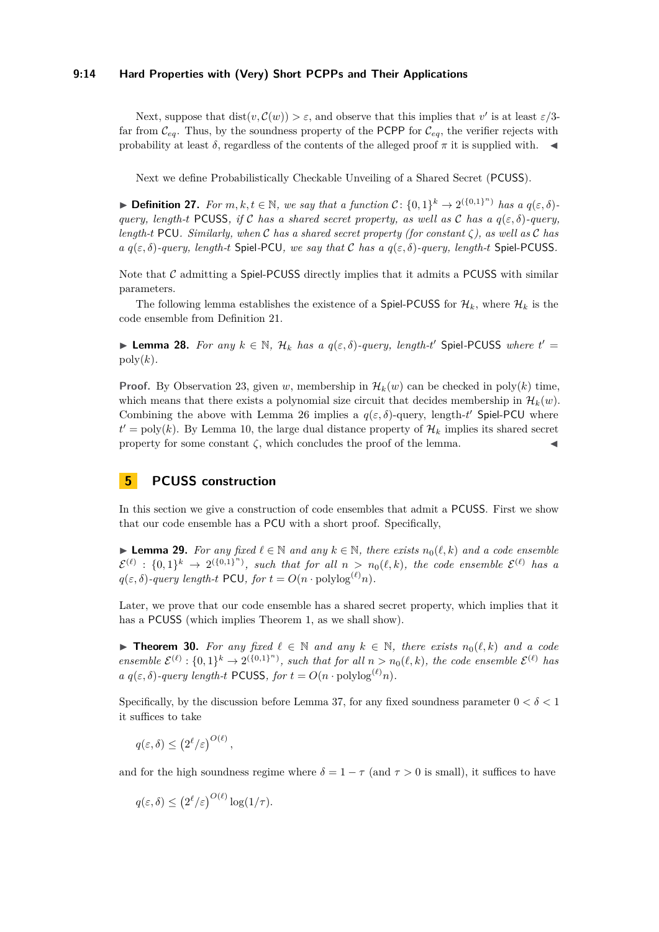#### **9:14 Hard Properties with (Very) Short PCPPs and Their Applications**

Next, suppose that  $dist(v, \mathcal{C}(w)) > \varepsilon$ , and observe that this implies that *v*' is at least  $\varepsilon/3$ far from  $\mathcal{C}_{eq}$ . Thus, by the soundness property of the PCPP for  $\mathcal{C}_{eq}$ , the verifier rejects with probability at least  $\delta$ , regardless of the contents of the alleged proof  $\pi$  it is supplied with.

Next we define Probabilistically Checkable Unveiling of a Shared Secret (PCUSS).

▶ **Definition 27.** *For*  $m, k, t \in \mathbb{N}$ *, we say that a function*  $C: \{0, 1\}^k \rightarrow 2^{(\{0, 1\}^n)}$  *has a*  $q(\varepsilon, \delta)$ *query, length-t* PCUSS, if C has a shared secret property, as well as C has a  $q(\varepsilon, \delta)$ -query, *length-t* PCU*. Similarly, when* C *has a shared secret property (for constant ζ), as well as* C *has a*  $q(\varepsilon, \delta)$ -query, length-*t* Spiel-PCU, we say that C has a  $q(\varepsilon, \delta)$ -query, length-*t* Spiel-PCUSS.

Note that  $C$  admitting a Spiel-PCUSS directly implies that it admits a PCUSS with similar parameters.

The following lemma establishes the existence of a Spiel-PCUSS for  $\mathcal{H}_k$ , where  $\mathcal{H}_k$  is the code ensemble from Definition [21.](#page-10-1)

<span id="page-13-1"></span>► **Lemma 28.** *For any*  $k \in \mathbb{N}$ ,  $\mathcal{H}_k$  *has a*  $q(\varepsilon, \delta)$ -query, length-t' Spiel-PCUSS where  $t' =$  $poly(k)$ .

**Proof.** By Observation [23,](#page-11-1) given *w*, membership in  $\mathcal{H}_k(w)$  can be checked in poly(*k*) time, which means that there exists a polynomial size circuit that decides membership in  $\mathcal{H}_k(w)$ . Combining the above with Lemma [26](#page-12-0) implies a  $q(\varepsilon, \delta)$ -query, length-t' Spiel-PCU where  $t' = \text{poly}(k)$ . By Lemma [10,](#page-7-0) the large dual distance property of  $\mathcal{H}_k$  implies its shared secret property for some constant  $\zeta$ , which concludes the proof of the lemma.

## **5 PCUSS construction**

In this section we give a construction of code ensembles that admit a PCUSS. First we show that our code ensemble has a PCU with a short proof. Specifically,

<span id="page-13-2"></span>**► Lemma 29.** For any fixed  $\ell \in \mathbb{N}$  and any  $k \in \mathbb{N}$ , there exists  $n_0(\ell, k)$  and a code ensemble  $\mathcal{E}^{(\ell)} : \{0,1\}^k \to 2^{(\{0,1\}^n)}$ , such that for all  $n > n_0(\ell, k)$ , the code ensemble  $\mathcal{E}^{(\ell)}$  has a  $q(\varepsilon, \delta)$ -query length-t PCU, for  $t = O(n \cdot \text{polylog}^{(\ell)} n)$ .

Later, we prove that our code ensemble has a shared secret property, which implies that it has a **PCUSS** (which implies Theorem [1,](#page-1-3) as we shall show).

<span id="page-13-0"></span>**► Theorem 30.** For any fixed  $\ell \in \mathbb{N}$  and any  $k \in \mathbb{N}$ , there exists  $n_0(\ell, k)$  and a code *ensemble*  $\mathcal{E}^{(\ell)} : \{0,1\}^k \to 2^{(\{0,1\}^n)}$ , such that for all  $n > n_0(\ell, k)$ , the code ensemble  $\mathcal{E}^{(\ell)}$  has *a*  $q(\varepsilon, \delta)$ -query length-t PCUSS, for  $t = O(n \cdot \text{polylog}^{(\ell)} n)$ .

Specifically, by the discussion before Lemma [37,](#page-16-0) for any fixed soundness parameter  $0 < \delta < 1$ it suffices to take

$$
q(\varepsilon,\delta) \le (2^{\ell}/\varepsilon)^{O(\ell)},
$$

and for the high soundness regime where  $\delta = 1 - \tau$  (and  $\tau > 0$  is small), it suffices to have

$$
q(\varepsilon,\delta) \le (2^{\ell}/\varepsilon)^{O(\ell)} \log(1/\tau).
$$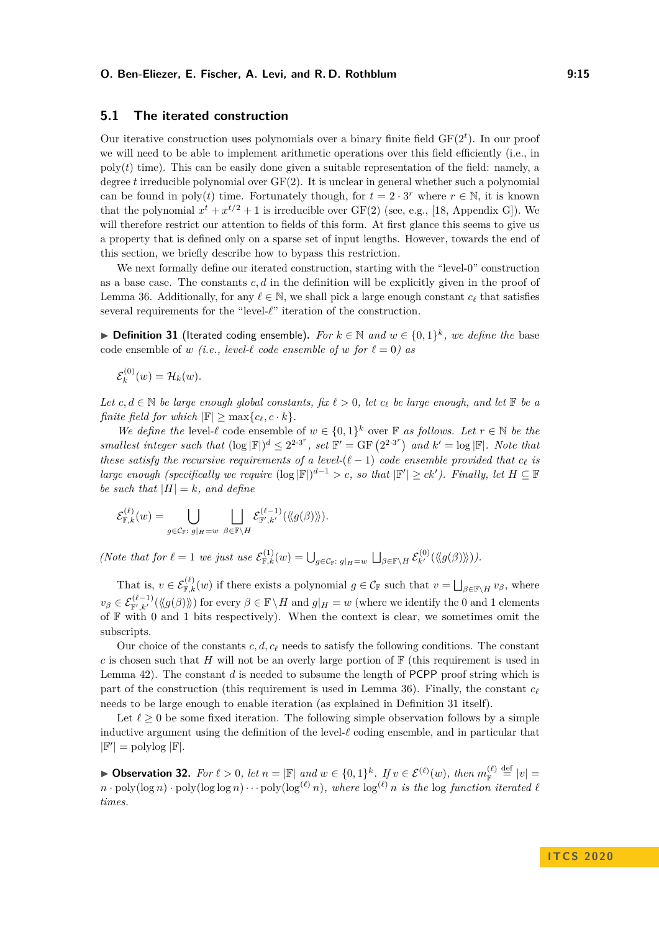## **5.1 The iterated construction**

Our iterative construction uses polynomials over a binary finite field  $GF(2<sup>t</sup>)$ . In our proof we will need to be able to implement arithmetic operations over this field efficiently (i.e., in  $poly(t)$  time). This can be easily done given a suitable representation of the field: namely, a degree *t* irreducible polynomial over GF(2). It is unclear in general whether such a polynomial can be found in poly(*t*) time. Fortunately though, for  $t = 2 \cdot 3^r$  where  $r \in \mathbb{N}$ , it is known that the polynomial  $x^t + x^{t/2} + 1$  is irreducible over  $GF(2)$  (see, e.g., [\[18,](#page-25-21) Appendix G]). We will therefore restrict our attention to fields of this form. At first glance this seems to give us a property that is defined only on a sparse set of input lengths. However, towards the end of this section, we briefly describe how to bypass this restriction.

We next formally define our iterated construction, starting with the "level-0" construction as a base case. The constants *c, d* in the definition will be explicitly given in the proof of Lemma [36.](#page-15-0) Additionally, for any  $\ell \in \mathbb{N}$ , we shall pick a large enough constant  $c_{\ell}$  that satisfies several requirements for the "level- $\ell$ " iteration of the construction.

<span id="page-14-0"></span>▶ **Definition 31** (Iterated coding ensemble). For  $k \in \mathbb{N}$  and  $w \in \{0,1\}^k$ , we define the base code ensemble of *w (i.e., level-* $\ell$  *code ensemble of w for*  $\ell = 0$ *) as* 

 $\mathcal{E}_k^{(0)}$  $f_k^{(0)}(w) = H_k(w).$ 

*Let*  $c, d \in \mathbb{N}$  *be large enough global constants, fix*  $\ell > 0$ *, let*  $c_{\ell}$  *be large enough, and let*  $\mathbb{F}$  *be a finite field for which*  $|\mathbb{F}| > \max\{c_{\ell}, c \cdot k\}.$ 

*We define the* level- $\ell$  code ensemble of  $w \in \{0,1\}^k$  over  $\mathbb{F}$  *as follows. Let*  $r \in \mathbb{N}$  *be the smallest integer such that*  $(\log |\mathbb{F}|)^d \leq 2^{2 \cdot 3^r}$ , set  $\mathbb{F}' = \text{GF}(2^{2 \cdot 3^r})$  and  $k' = \log |\mathbb{F}|$ *. Note that these satisfy the recursive requirements of a level-*( $\ell$  − 1) *code ensemble provided that*  $c_{\ell}$  *is large enough (specifically we require*  $(\log |\mathbb{F}|)^{d-1} > c$ , so that  $|\mathbb{F}'| \ge ck'$ ). Finally, let  $H \subseteq \mathbb{F}$ *be such that*  $|H| = k$ *, and define* 

$$
\mathcal{E}_{\mathbb{F},k}^{(\ell)}(w) = \bigcup_{g \in \mathcal{C}_{\mathbb{F}}:\; g|_H = w} \; \bigcup_{\beta \in \mathbb{F} \backslash H} \mathcal{E}_{\mathbb{F}',k'}^{(\ell-1)}(\langle \langle g(\beta) \rangle \rangle).
$$

*(Note that for*  $\ell = 1$  *we just use*  $\mathcal{E}_{\mathbb{F},k}^{(1)}(w) = \bigcup_{g \in \mathcal{C}_{\mathbb{F}}: g|_{H} = w} \bigcup_{\beta \in \mathbb{F} \backslash H} \mathcal{E}_{k'}^{(0)}(\langle g(\beta) \rangle).$ 

That is,  $v \in \mathcal{E}_{\mathbb{F},k}^{(\ell)}(w)$  if there exists a polynomial  $g \in \mathcal{C}_{\mathbb{F}}$  such that  $v = \bigsqcup_{\beta \in \mathbb{F} \setminus H} v_{\beta}$ , where  $v_{\beta} \in \mathcal{E}_{\mathbb{F}',k'}^{(\ell-1)}(\langle g(\beta) \rangle)$  for every  $\beta \in \mathbb{F} \setminus H$  and  $g|_H = w$  (where we identify the 0 and 1 elements of  $F$  with 0 and 1 bits respectively). When the context is clear, we sometimes omit the subscripts.

Our choice of the constants  $c, d, c_\ell$  needs to satisfy the following conditions. The constant *c* is chosen such that *H* will not be an overly large portion of  $\mathbb{F}$  (this requirement is used in Lemma [42\)](#page-19-0). The constant *d* is needed to subsume the length of PCPP proof string which is part of the construction (this requirement is used in Lemma [36\)](#page-15-0). Finally, the constant  $c_f$ needs to be large enough to enable iteration (as explained in Definition [31](#page-14-0) itself).

Let  $\ell \geq 0$  be some fixed iteration. The following simple observation follows by a simple inductive argument using the definition of the level- $\ell$  coding ensemble, and in particular that  $|\mathbb{F}'|$  = polylog  $|\mathbb{F}|$ .

▶ Observation 32. For  $\ell > 0$ , let  $n = |\mathbb{F}|$  and  $w \in \{0,1\}^k$ . If  $v \in \mathcal{E}^{(\ell)}(w)$ , then  $m_{\mathbb{F}}^{(\ell)} \stackrel{\text{def}}{=} |v|$  $n \cdot \text{poly}(\log n) \cdot \text{poly}(\log \log n) \cdot \cdot \cdot \text{poly}(\log^{(\ell)} n)$ , where  $\log^{(\ell)} n$  is the  $\log$  function iterated  $\ell$ *times.*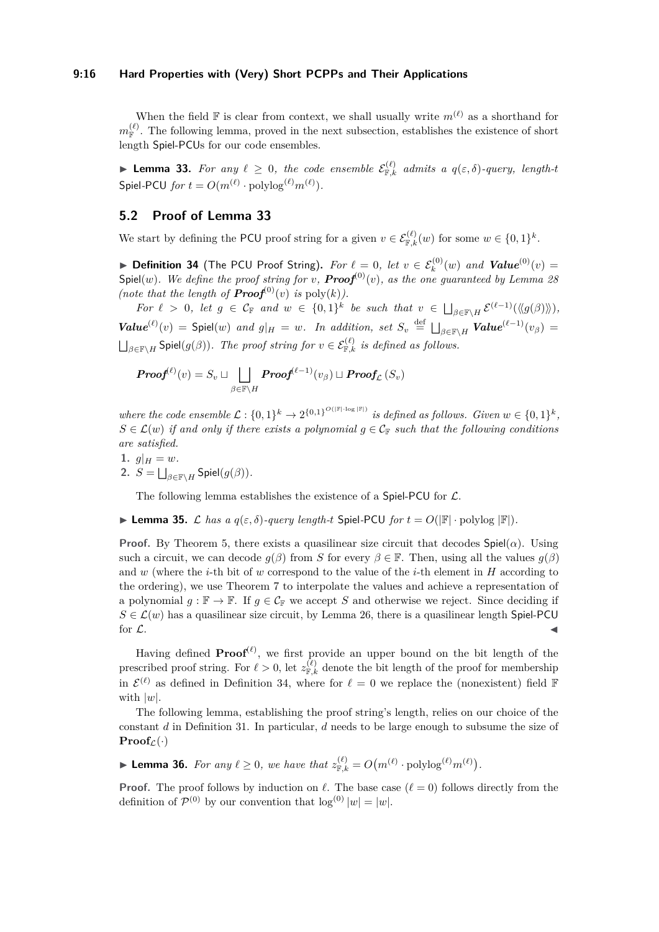#### **9:16 Hard Properties with (Very) Short PCPPs and Their Applications**

When the field  $\mathbb F$  is clear from context, we shall usually write  $m^{(\ell)}$  as a shorthand for  $m_{\mathbb{F}}^{(\ell)}$ . The following lemma, proved in the next subsection, establishes the existence of short length Spiel-PCUs for our code ensembles.

<span id="page-15-1"></span>**Example 13.** For any  $\ell \geq 0$ , the code ensemble  $\mathcal{E}_{\mathbb{F},k}^{(\ell)}$  admits a  $q(\varepsilon,\delta)$ -query, length-t  $\mathsf{Spiel\text{-}PCU}$   $\mathit{for}\ t = O(m^{(\ell)} \cdot \mathrm{polylog}^{(\ell)} m^{(\ell)}).$ 

## <span id="page-15-4"></span>**5.2 Proof of Lemma [33](#page-15-1)**

We start by defining the PCU proof string for a given  $v \in \mathcal{E}_{\mathbb{F},k}^{(\ell)}(w)$  for some  $w \in \{0,1\}^k$ .

<span id="page-15-2"></span>▶ Definition 34 (The PCU Proof String). For  $\ell = 0$ , let  $v \in \mathcal{E}_k^{(0)}(w)$  and  $\textit{Value}^{(0)}(v) =$ Spiel(*w*)*. We define the proof string for v*,  $Proof^{(0)}(v)$ , as the one guaranteed by Lemma<sup>28</sup> *(note that the length of*  $Proof^{(0)}(v)$  *is*  $poly(k)$ *).* 

*For*  $\ell > 0$ *, let*  $g \in C_{\mathbb{F}}$  *and*  $w \in \{0,1\}^k$  *be such that*  $v \in \bigsqcup_{\beta \in \mathbb{F} \backslash H} \mathcal{E}^{(\ell-1)}(\langle g(\beta) \rangle),$  $\mathbf{Value}^{(\ell)}(v) = \mathsf{Spiel}(w)$  *and*  $g|_H = w$ *. In addition, set*  $S_v \stackrel{\text{def}}{=} \bigsqcup_{\beta \in \mathbb{F} \backslash H} \mathbf{Value}^{(\ell-1)}(v_\beta) =$  $\bigsqcup_{\beta \in \mathbb{F}\setminus H}$  Spiel $(g(\beta))$ . The proof string for  $v \in \mathcal{E}_{\mathbb{F},k}^{(\ell)}$  is defined as follows.

$$
\text{Proof}^{(\ell)}(v) = S_v \sqcup \bigsqcup_{\beta \in \mathbb{F} \backslash H} \text{Proof}^{(\ell-1)}(v_{\beta}) \sqcup \text{Proof}_{\mathcal{L}}(S_v)
$$

*where the code ensemble*  $\mathcal{L}: \{0,1\}^k \to 2^{\{0,1\}^{O(|\mathbb{F}|\cdot \log |\mathbb{F}|)}\}$  is defined as follows. Given  $w \in \{0,1\}^k$ ,  $S \in \mathcal{L}(w)$  *if and only if there exists a polynomial*  $g \in \mathcal{C}_{\mathbb{F}}$  *such that the following conditions are satisfied.*

1.  $g|_H = w$ .

2.  $S = \bigsqcup_{\beta \in \mathbb{F} \setminus H}$  Spiel $(g(\beta)).$ 

The following lemma establishes the existence of a Spiel-PCU for  $\mathcal{L}$ .

<span id="page-15-3"></span>**Example 35.** L has a  $q(\varepsilon, \delta)$ -query length-t Spiel-PCU for  $t = O(|\mathbb{F}| \cdot \text{polylog } |\mathbb{F}|)$ .

**Proof.** By Theorem [5,](#page-6-0) there exists a quasilinear size circuit that decodes  $\text{Spiel}(\alpha)$ . Using such a circuit, we can decode  $q(\beta)$  from *S* for every  $\beta \in \mathbb{F}$ . Then, using all the values  $q(\beta)$ and *w* (where the *i*-th bit of *w* correspond to the value of the *i*-th element in *H* according to the ordering), we use Theorem [7](#page-6-1) to interpolate the values and achieve a representation of a polynomial  $g : \mathbb{F} \to \mathbb{F}$ . If  $g \in C_{\mathbb{F}}$  we accept *S* and otherwise we reject. Since deciding if  $S \in \mathcal{L}(w)$  has a quasilinear size circuit, by Lemma [26,](#page-12-0) there is a quasilinear length Spiel-PCU for  $\mathcal{L}$ .

Having defined  $Proof<sup>(\ell)</sup>$ , we first provide an upper bound on the bit length of the prescribed proof string. For  $\ell > 0$ , let  $z_{\mathbb{F},k}^{(\ell)}$  denote the bit length of the proof for membership in  $\mathcal{E}^{(\ell)}$  as defined in Definition [34,](#page-15-2) where for  $\ell = 0$  we replace the (nonexistent) field F with |*w*|.

The following lemma, establishing the proof string's length, relies on our choice of the constant *d* in Definition [31.](#page-14-0) In particular, *d* needs to be large enough to subsume the size of  $Proof_{\mathcal{L}}(\cdot)$ 

<span id="page-15-0"></span>► **Lemma 36.** *For any*  $\ell \geq 0$ *, we have that*  $z_{\mathbb{F},k}^{(\ell)} = O(m^{(\ell)} \cdot \text{polylog}^{(\ell)} m^{(\ell)})$ *.* 

**Proof.** The proof follows by induction on  $\ell$ . The base case  $(\ell = 0)$  follows directly from the definition of  $\mathcal{P}^{(0)}$  by our convention that  $\log^{(0)} |w| = |w|$ .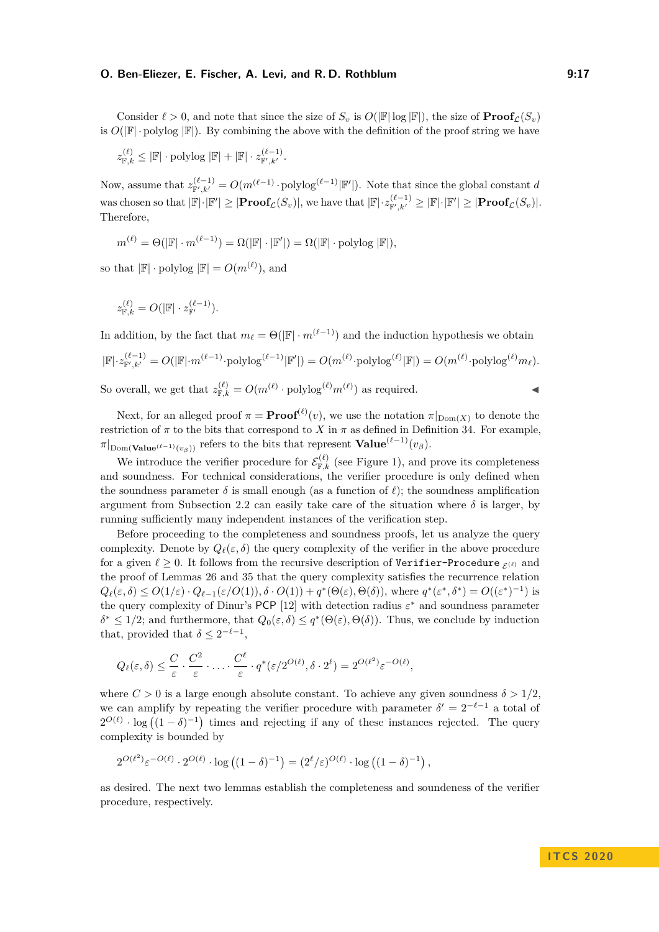Consider  $\ell > 0$ , and note that since the size of  $S_v$  is  $O(|\mathbb{F}| \log |\mathbb{F}|)$ , the size of  $\textbf{Proof}_{\ell}(S_v)$ is  $O(|\mathbb{F}| \cdot \text{polylog } |\mathbb{F}|)$ . By combining the above with the definition of the proof string we have

 $z_{\mathbb{F},k}^{(\ell)} \leq |\mathbb{F}| \cdot \mathrm{polylog} |\mathbb{F}| + |\mathbb{F}| \cdot z_{\mathbb{F}',k'}^{(\ell-1)}.$ 

Now, assume that  $z_{\mathbb{F}',k'}^{(\ell-1)} = O(m^{(\ell-1)} \cdot \text{polylog}^{(\ell-1)} | \mathbb{F}'])$ . Note that since the global constant *d*  $\text{was chosen so that } |\mathbb{F}|\cdot|\mathbb{F}'| \geq |\textbf{Proof}_{\mathcal{L}}(S_v)|, \text{ we have that } |\mathbb{F}|\cdot z_{\mathbb{F}',k'}^{(\ell-1)} \geq |\mathbb{F}|\cdot|\mathbb{F}'| \geq |\textbf{Proof}_{\mathcal{L}}(S_v)|.$ Therefore,

$$
m^{(\ell)} = \Theta(|\mathbb{F}| \cdot m^{(\ell-1)}) = \Omega(|\mathbb{F}| \cdot |\mathbb{F}'|) = \Omega(|\mathbb{F}| \cdot \text{polylog} |\mathbb{F}|),
$$

so that  $|\mathbb{F}| \cdot \text{polylog } |\mathbb{F}| = O(m^{(\ell)})$ , and

$$
z_{\mathbb{F},k}^{(\ell)} = O(|\mathbb{F}| \cdot z_{\mathbb{F}'}^{(\ell-1)}).
$$

In addition, by the fact that  $m_\ell = \Theta(|\mathbb{F}| \cdot m^{(\ell-1)})$  and the induction hypothesis we obtain  $|\mathbb{F}| \cdot z_{\mathbb{F}',k'}^{(\ell-1)} = O(|\mathbb{F}| \cdot m^{(\ell-1)} \cdot \text{polylog}^{(\ell-1)}|\mathbb{F}'|) = O(m^{(\ell)} \cdot \text{polylog}^{(\ell)}|\mathbb{F}|) = O(m^{(\ell)} \cdot \text{polylog}^{(\ell)} m_{\ell}).$ So overall, we get that  $z_{\mathbb{F},k}^{(\ell)} = O(m^{(\ell)} \cdot \text{polylog}^{(\ell)} m^{(\ell)})$  as required.

Next, for an alleged proof  $\pi = \textbf{Proof}^{(\ell)}(v)$ , we use the notation  $\pi|_{\text{Dom}(X)}$  to denote the restriction of  $\pi$  to the bits that correspond to *X* in  $\pi$  as defined in Definition [34.](#page-15-2) For example,  $\pi|_{\text{Dom}(\textbf{Value}^{(\ell-1)}(v_{\beta}))}$  refers to the bits that represent  $\textbf{Value}^{(\ell-1)}(v_{\beta})$ .

We introduce the verifier procedure for  $\mathcal{E}_{\mathbb{F},k}^{(\ell)}$  (see Figure [1\)](#page-17-0), and prove its completeness and soundness. For technical considerations, the verifier procedure is only defined when the soundness parameter  $\delta$  is small enough (as a function of  $\ell$ ); the soundness amplification argument from Subsection [2.2](#page-7-1) can easily take care of the situation where  $\delta$  is larger, by running sufficiently many independent instances of the verification step.

Before proceeding to the completeness and soundness proofs, let us analyze the query complexity. Denote by  $Q_\ell(\varepsilon, \delta)$  the query complexity of the verifier in the above procedure for a given  $\ell \geq 0$ . It follows from the recursive description of Verifier-Procedure  $\epsilon(\ell)$  and the proof of Lemmas [26](#page-12-0) and [35](#page-15-3) that the query complexity satisfies the recurrence relation  $Q_{\ell}(\varepsilon,\delta) \leq O(1/\varepsilon) \cdot Q_{\ell-1}(\varepsilon/O(1)), \delta \cdot O(1)) + q^*(\Theta(\varepsilon), \Theta(\delta)),$  where  $q^*(\varepsilon^*,\delta^*) = O((\varepsilon^*)^{-1})$  is the query complexity of Dinur's PCP [\[12\]](#page-25-1) with detection radius *ε* <sup>∗</sup> and soundness parameter  $\delta^* \leq 1/2$ ; and furthermore, that  $Q_0(\varepsilon, \delta) \leq q^*(\Theta(\varepsilon), \Theta(\delta))$ . Thus, we conclude by induction that, provided that  $\delta \leq 2^{-\ell-1}$ ,

$$
Q_{\ell}(\varepsilon,\delta) \leq \frac{C}{\varepsilon} \cdot \frac{C^2}{\varepsilon} \cdot \ldots \cdot \frac{C^{\ell}}{\varepsilon} \cdot q^*(\varepsilon/2^{O(\ell)},\delta \cdot 2^{\ell}) = 2^{O(\ell^2)} \varepsilon^{-O(\ell)},
$$

where  $C > 0$  is a large enough absolute constant. To achieve any given soundness  $\delta > 1/2$ , we can amplify by repeating the verifier procedure with parameter  $\delta' = 2^{-\ell-1}$  a total of  $2^{O(\ell)} \cdot \log((1-\delta)^{-1})$  times and rejecting if any of these instances rejected. The query complexity is bounded by

$$
2^{O(\ell^2)} \varepsilon^{-O(\ell)} \cdot 2^{O(\ell)} \cdot \log\left((1-\delta)^{-1}\right) = (2^{\ell}/\varepsilon)^{O(\ell)} \cdot \log\left((1-\delta)^{-1}\right),
$$

<span id="page-16-0"></span>as desired. The next two lemmas establish the completeness and soundeness of the verifier procedure, respectively.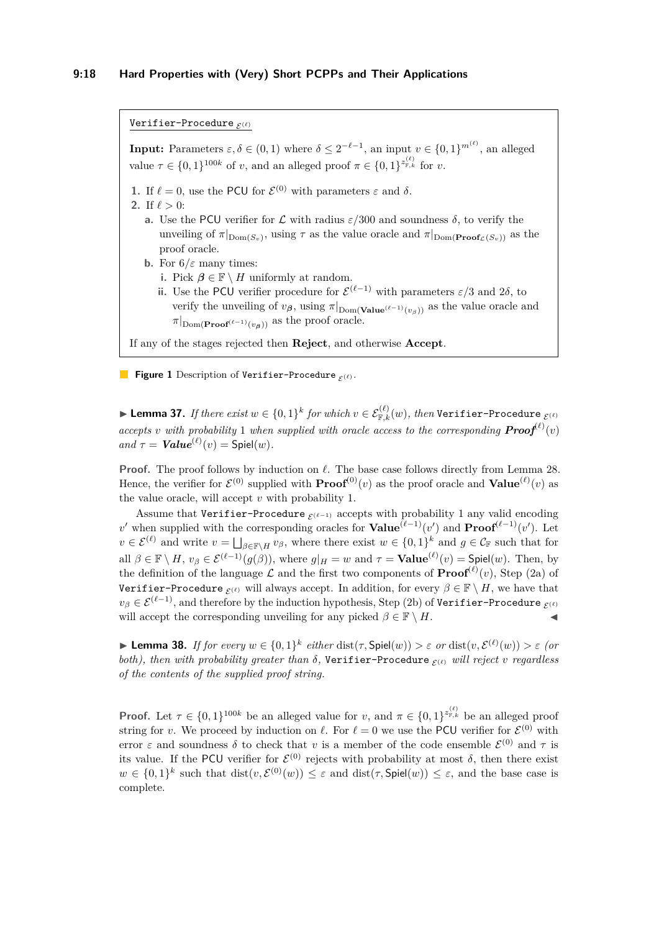<span id="page-17-0"></span>Verifier-Procedure  $_{\mathcal{E}(\ell)}$ 

**Input:** Parameters  $\varepsilon, \delta \in (0, 1)$  where  $\delta \leq 2^{-\ell-1}$ , an input  $v \in \{0, 1\}^{m^{(\ell)}}$ , an alleged value  $\tau \in \{0,1\}^{100k}$  of *v*, and an alleged proof  $\pi \in \{0,1\}^{z_{\mathbb{F},k}^{(\ell)}}$  for *v*.

- **1.** If  $\ell = 0$ , use the PCU for  $\mathcal{E}^{(0)}$  with parameters  $\varepsilon$  and  $\delta$ .
- <span id="page-17-2"></span><span id="page-17-1"></span>**2.** If  $\ell > 0$ :
	- **a.** Use the PCU verifier for  $\mathcal{L}$  with radius  $\varepsilon/300$  and soundness  $\delta$ , to verify the unveiling of  $\pi|_{\text{Dom}(S_v)}$ , using  $\tau$  as the value oracle and  $\pi|_{\text{Dom}(\text{Proof}_{\mathcal{L}}(S_v))}$  as the proof oracle.
	- **b.** For  $6/\varepsilon$  many times:
		- **i.** Pick  $\beta \in \mathbb{F} \setminus H$  uniformly at random.
		- **ii.** Use the PCU verifier procedure for  $\mathcal{E}^{(\ell-1)}$  with parameters  $\epsilon/3$  and  $2\delta$ , to verify the unveiling of  $v_{\beta}$ , using  $\pi|_{\text{Dom}(\textbf{Value}^{(\ell-1)}(v_{\beta}))}$  as the value oracle and  $\pi|_{\text{Dom}(\textbf{Proof}^{(\ell-1)}(\nu_{\mathbf{A}}))}$  as the proof oracle.

If any of the stages rejected then **Reject**, and otherwise **Accept**.

**Figure 1** Description of Verifier-Procedure  $\mathcal{L}(\ell)$ .

 $\blacktriangleright$  **Lemma 37.** *If there exist*  $w \in \{0,1\}^k$  *for which*  $v \in \mathcal{E}^{(\ell)}_{\mathbb{F},k}(w),$  *then* <code>Verifier–Procedure  $_{\mathcal{E}^{(\ell)}}$ </code> *accepts v with probability* 1 *when supplied with oracle access to the corresponding*  $\text{Proof}^{(\ell)}(v)$  $and \tau = \textit{Value}^{(\ell)}(v) = \text{Spiel}(w)$ .

**Proof.** The proof follows by induction on  $\ell$ . The base case follows directly from Lemma [28.](#page-13-1) Hence, the verifier for  $\mathcal{E}^{(0)}$  supplied with  $\textbf{Proof}^{(0)}(v)$  as the proof oracle and  $\textbf{Value}^{(\ell)}(v)$  as the value oracle, will accept *v* with probability 1.

Assume that Verifier-Procedure  $\varepsilon^{(\ell-1)}$  accepts with probability 1 any valid encoding *v*' when supplied with the corresponding oracles for  $Value^{(\ell-1)}(v')$  and  $Proof^{(\ell-1)}(v')$ . Let  $v \in \mathcal{E}^{(\ell)}$  and write  $v = \bigsqcup_{\beta \in \mathbb{F} \backslash H} v_{\beta}$ , where there exist  $w \in \{0,1\}^k$  and  $g \in \mathcal{C}_{\mathbb{F}}$  such that for all  $\beta \in \mathbb{F} \setminus H$ ,  $v_{\beta} \in \mathcal{E}^{(\ell-1)}(g(\beta))$ , where  $g|_H = w$  and  $\tau = \textbf{Value}^{(\ell)}(v) = \textbf{Spiel}(w)$ . Then, by the definition of the language  $\mathcal L$  and the first two components of  $\textbf{Proof}^{(\ell)}(v)$ , Step [\(2a\)](#page-17-1) of Verifier-Procedure  $\epsilon(\ell)$  will always accept. In addition, for every  $\beta \in \mathbb{F} \setminus H$ , we have that  $v_\beta \in \mathcal{E}^{(\ell-1)}$ , and therefore by the induction hypothesis, Step [\(2b\)](#page-17-2) of Verifier-Procedure  $\varepsilon(\ell)$ will accept the corresponding unveiling for any picked  $\beta \in \mathbb{F} \setminus H$ .

<span id="page-17-3"></span> $\blacktriangleright$  **Lemma 38.** *If for every*  $w \in \{0,1\}^k$  *either* dist(*τ*, Spiel(*w*)) > *ε or* dist(*v*,  $\mathcal{E}^{(\ell)}(w)$ ) > *ε* (*or both), then with probability greater than*  $\delta$ , Verifier-Procedure  $\epsilon$ (*i*) *will reject v regardless of the contents of the supplied proof string.*

**Proof.** Let  $\tau \in \{0,1\}^{100k}$  be an alleged value for *v*, and  $\pi \in \{0,1\}^{z_{\mathbb{F},k}^{(\ell)}}$  be an alleged proof string for *v*. We proceed by induction on  $\ell$ . For  $\ell = 0$  we use the PCU verifier for  $\mathcal{E}^{(0)}$  with error  $\varepsilon$  and soundness  $\delta$  to check that  $v$  is a member of the code ensemble  $\mathcal{E}^{(0)}$  and  $\tau$  is its value. If the PCU verifier for  $\mathcal{E}^{(0)}$  rejects with probability at most  $\delta$ , then there exist  $w \in \{0,1\}^k$  such that  $dist(v,\mathcal{E}^{(0)}(w)) \leq \varepsilon$  and  $dist(\tau, \text{Spiel}(w)) \leq \varepsilon$ , and the base case is complete.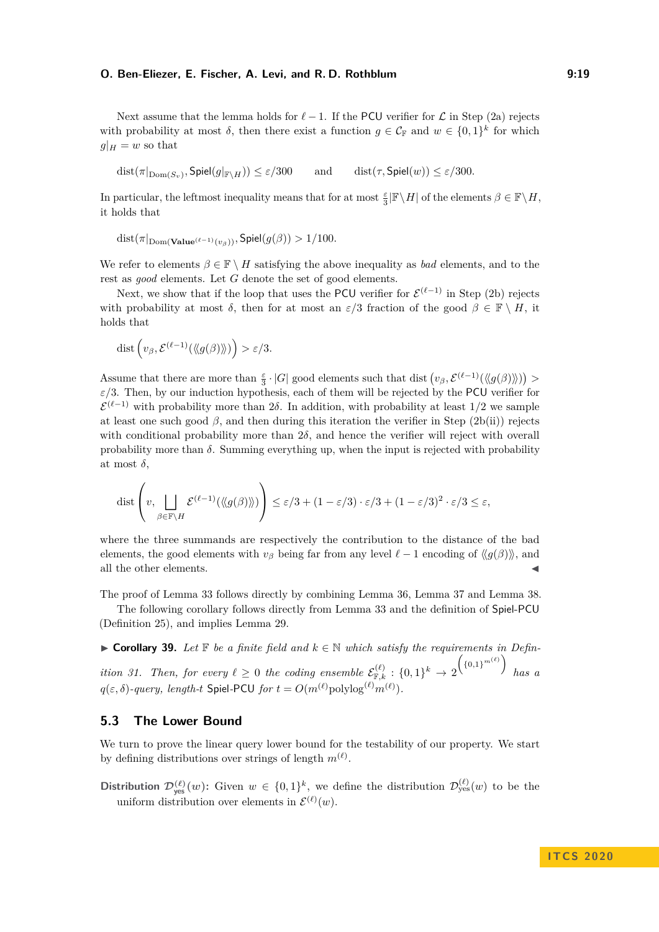Next assume that the lemma holds for  $\ell - 1$ . If the PCU verifier for  $\mathcal L$  in Step [\(2a\)](#page-17-1) rejects with probability at most  $\delta$ , then there exist a function  $g \in C_{\mathbb{F}}$  and  $w \in \{0,1\}^k$  for which  $q|_H = w$  so that

 $dist(\pi|_{\text{Dom}(S_{\text{av}})}, \text{Spiel}(g|_{\mathbb{F}\setminus H})) \leq \varepsilon/300$  $\text{and} \quad \text{dist}(\tau, \text{Spiel}(w)) \leq \varepsilon/300.$ 

In particular, the leftmost inequality means that for at most  $\frac{\varepsilon}{3}|\mathbb{F}\setminus H|$  of the elements  $\beta \in \mathbb{F}\setminus H$ , it holds that

$$
dist(\pi|_{\text{Dom}(\mathbf{Value}^{(\ell-1)}(v_{\beta}))}, \text{Spiel}(g(\beta)) > 1/100.
$$

We refer to elements  $\beta \in \mathbb{F} \setminus H$  satisfying the above inequality as *bad* elements, and to the rest as *good* elements. Let *G* denote the set of good elements.

Next, we show that if the loop that uses the PCU verifier for  $\mathcal{E}^{(\ell-1)}$  in Step [\(2b\)](#page-17-2) rejects with probability at most  $\delta$ , then for at most an  $\varepsilon/3$  fraction of the good  $\beta \in \mathbb{F} \setminus H$ , it holds that

$$
\operatorname{dist} \left( v_{\beta}, \mathcal{E}^{(\ell-1)}(\langle\!\langle g(\beta)\rangle\!\rangle) \right) > \varepsilon/3.
$$

Assume that there are more than  $\frac{\varepsilon}{3} \cdot |G|$  good elements such that dist  $(v_\beta, \mathcal{E}^{(\ell-1)}(\langle\!\langle g(\beta)\rangle\!\rangle)) >$  $\varepsilon/3$ . Then, by our induction hypothesis, each of them will be rejected by the PCU verifier for  $\mathcal{E}^{(\ell-1)}$  with probability more than 2*δ*. In addition, with probability at least 1/2 we sample at least one such good  $\beta$ , and then during this iteration the verifier in Step [\(2b\(](#page-17-2)ii)) rejects with conditional probability more than 2*δ*, and hence the verifier will reject with overall probability more than  $\delta$ . Summing everything up, when the input is rejected with probability at most  $\delta$ ,

$$
\text{dist}\left(v, \bigcup_{\beta \in \mathbb{F} \backslash H} \mathcal{E}^{(\ell-1)}(\langle\!\langle g(\beta) \rangle\!\rangle) \right) \leq \varepsilon/3 + (1 - \varepsilon/3) \cdot \varepsilon/3 + (1 - \varepsilon/3)^2 \cdot \varepsilon/3 \leq \varepsilon,
$$

where the three summands are respectively the contribution to the distance of the bad elements, the good elements with  $v_\beta$  being far from any level  $\ell - 1$  encoding of  $\langle g(\beta) \rangle$ , and all the other elements.

The proof of Lemma [33](#page-15-1) follows directly by combining Lemma [36,](#page-15-0) Lemma [37](#page-16-0) and Lemma [38.](#page-17-3)

The following corollary follows directly from Lemma [33](#page-15-1) and the definition of Spiel-PCU (Definition [25\)](#page-12-1), and implies Lemma [29.](#page-13-2)

**► Corollary 39.** Let  $\mathbb F$  be a finite field and  $k \in \mathbb N$  which satisfy the requirements in Defin*ition* [31.](#page-14-0) Then, for every  $\ell \geq 0$  the coding ensemble  $\mathcal{E}_{\mathbb{F},k}^{(\ell)} : \{0,1\}^k \to 2$  $($ {0,1}<sup>*m*( $\ell$ )</sup>) *has a*  $q(\varepsilon, \delta)$ -query, length-t  $\mathsf{Spiel\text{-}PCU}$  for  $t = O(m^{(\ell)} \mathrm{polylog}^{(\ell)} m^{(\ell)})$ .

## **5.3 The Lower Bound**

We turn to prove the linear query lower bound for the testability of our property. We start by defining distributions over strings of length  $m^{(\ell)}$ .

**Distribution**  $\mathcal{D}_{\text{yes}}^{(\ell)}(w)$ : Given  $w \in \{0,1\}^k$ , we define the distribution  $\mathcal{D}_{\text{yes}}^{(\ell)}(w)$  to be the uniform distribution over elements in  $\mathcal{E}^{(\ell)}(w)$ .

**I T C S 2 0 2 0**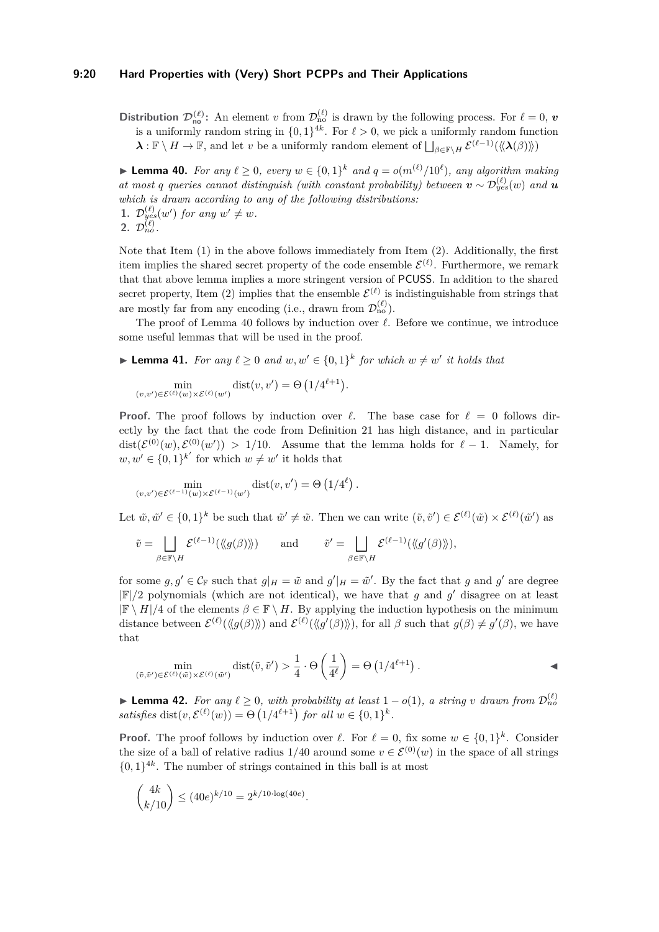#### **9:20 Hard Properties with (Very) Short PCPPs and Their Applications**

**Distribution**  $\mathcal{D}_{\text{no}}^{(\ell)}$ : An element *v* from  $\mathcal{D}_{\text{no}}^{(\ell)}$  is drawn by the following process. For  $\ell = 0$ , *v* is a uniformly random string in  $\{0, 1\}^{4k}$ . For  $\ell > 0$ , we pick a uniformly random function  $\lambda$  :  $\mathbb{F} \setminus H \to \mathbb{F}$ , and let *v* be a uniformly random element of  $\bigsqcup_{\beta \in \mathbb{F} \setminus H} \mathcal{E}^{(\ell-1)}(\langle\!\langle \lambda(\beta) \rangle\!\rangle)$ 

<span id="page-19-3"></span><span id="page-19-1"></span>▶ **Lemma 40.** *For any*  $\ell \geq 0$ *, every*  $w \in \{0,1\}^k$  *and*  $q = o(m^{(\ell)}/10^{\ell})$ *, any algorithm making at most q queries cannot distinguish (with constant probability) between*  $v \sim \mathcal{D}_{yes}^{(\ell)}(w)$  *and*  $u$ *which is drawn according to any of the following distributions:* **1.**  $\mathcal{D}_{yes}^{(\ell)}(w')$  *for any*  $w' \neq w$ *.* **2.**  $\mathcal{D}_{no}^{(\ell)}$ .

<span id="page-19-2"></span>Note that Item [\(1\)](#page-19-1) in the above follows immediately from Item [\(2\)](#page-19-2). Additionally, the first item implies the shared secret property of the code ensemble  $\mathcal{E}^{(\ell)}$ . Furthermore, we remark that that above lemma implies a more stringent version of PCUSS. In addition to the shared secret property, Item [\(2\)](#page-19-2) implies that the ensemble  $\mathcal{E}^{(\ell)}$  is indistinguishable from strings that are mostly far from any encoding (i.e., drawn from  $\mathcal{D}_{\text{no}}^{(\ell)}$ ).

The proof of Lemma [40](#page-19-3) follows by induction over  $\ell$ . Before we continue, we introduce some useful lemmas that will be used in the proof.

<span id="page-19-4"></span>▶ **Lemma 41.** *For any*  $\ell \geq 0$  *and*  $w, w' \in \{0, 1\}^k$  *for which*  $w \neq w'$  *it holds that* 

$$
\min_{(v,v')\in \mathcal{E}^{(\ell)}(w)\times \mathcal{E}^{(\ell)}(w')} \text{dist}(v,v') = \Theta\left(1/4^{\ell+1}\right).
$$

**Proof.** The proof follows by induction over  $\ell$ . The base case for  $\ell = 0$  follows directly by the fact that the code from Definition [21](#page-10-1) has high distance, and in particular  $dist(\mathcal{E}^{(0)}(w), \mathcal{E}^{(0)}(w')) > 1/10$ . Assume that the lemma holds for  $\ell - 1$ . Namely, for  $w, w' \in \{0, 1\}^{k'}$  for which  $w \neq w'$  it holds that

$$
\min_{(v,v')\in \mathcal{E}^{(\ell-1)}(w)\times \mathcal{E}^{(\ell-1)}(w')} \text{dist}(v,v') = \Theta\left(1/4^{\ell}\right).
$$

Let  $\tilde{w}, \tilde{w}' \in \{0,1\}^k$  be such that  $\tilde{w}' \neq \tilde{w}$ . Then we can write  $(\tilde{v}, \tilde{v}') \in \mathcal{E}^{(\ell)}(\tilde{w}) \times \mathcal{E}^{(\ell)}(\tilde{w}')$  as

$$
\tilde{v} = \bigsqcup_{\beta \in \mathbb{F} \backslash H} \mathcal{E}^{(\ell-1)}(\langle\!\langle g(\beta)\rangle\!\rangle) \quad \text{and} \quad \tilde{v}' = \bigsqcup_{\beta \in \mathbb{F} \backslash H} \mathcal{E}^{(\ell-1)}(\langle\!\langle g'(\beta)\rangle\!\rangle),
$$

for some  $g, g' \in C_{\mathbb{F}}$  such that  $g|_H = \tilde{w}$  and  $g'|_H = \tilde{w}'$ . By the fact that *g* and *g'* are degree  $|\mathbb{F}|/2$  polynomials (which are not identical), we have that *g* and *g*' disagree on at least  $|\mathbb{F} \setminus H|/4$  of the elements  $\beta \in \mathbb{F} \setminus H$ . By applying the induction hypothesis on the minimum distance between  $\mathcal{E}^{(\ell)}(\langle g(\beta) \rangle)$  and  $\mathcal{E}^{(\ell)}(\langle g'(\beta) \rangle)$ , for all  $\beta$  such that  $g(\beta) \neq g'(\beta)$ , we have that

$$
\min_{(\tilde{v}, \tilde{v}') \in \mathcal{E}^{(\ell)}(\tilde{w}) \times \mathcal{E}^{(\ell)}(\tilde{w}')} \text{dist}(\tilde{v}, \tilde{v}') > \frac{1}{4} \cdot \Theta\left(\frac{1}{4^{\ell}}\right) = \Theta\left(1/4^{\ell+1}\right).
$$

<span id="page-19-0"></span>**► Lemma 42.** For any  $\ell \geq 0$ , with probability at least  $1 - o(1)$ , a string v drawn from  $\mathcal{D}_{no}^{(\ell)}$ *satisfies* dist $(v, \mathcal{E}^{(\ell)}(w)) = \Theta(1/4^{\ell+1})$  *for all*  $w \in \{0, 1\}^k$ .

**Proof.** The proof follows by induction over  $\ell$ . For  $\ell = 0$ , fix some  $w \in \{0,1\}^k$ . Consider the size of a ball of relative radius 1/40 around some  $v \in \mathcal{E}^{(0)}(w)$  in the space of all strings  $\{0,1\}^{4k}$ . The number of strings contained in this ball is at most

$$
\binom{4k}{k/10} \le (40e)^{k/10} = 2^{k/10 \cdot \log(40e)}.
$$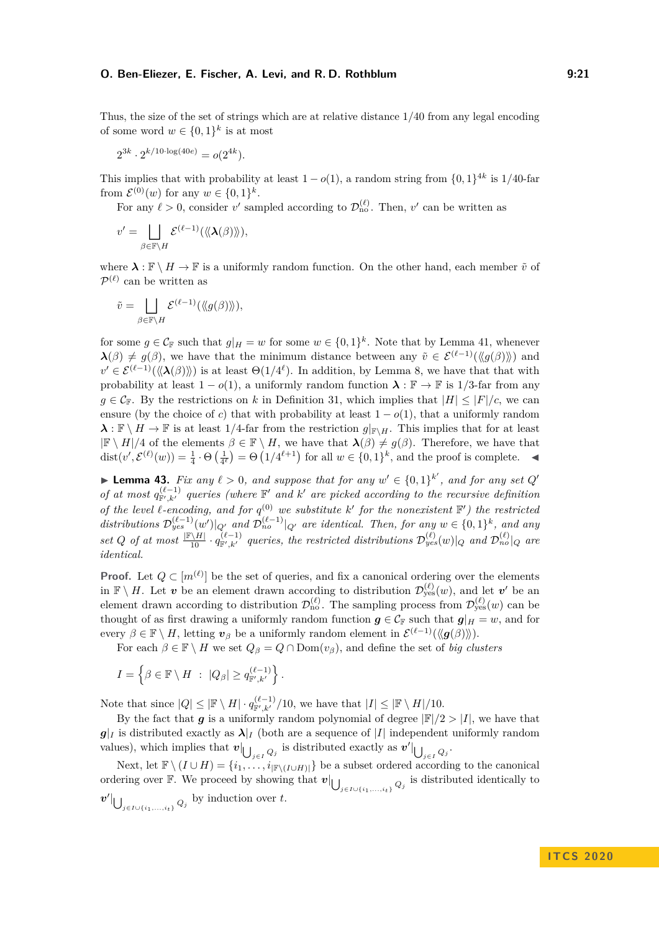Thus, the size of the set of strings which are at relative distance 1*/*40 from any legal encoding of some word  $w \in \{0,1\}^k$  is at most

$$
2^{3k} \cdot 2^{k/10 \cdot \log(40e)} = o(2^{4k}).
$$

This implies that with probability at least  $1 - o(1)$ , a random string from  $\{0, 1\}^{4k}$  is 1/40-far from  $\mathcal{E}^{(0)}(w)$  for any  $w \in \{0,1\}^k$ .

For any  $\ell > 0$ , consider *v*' sampled according to  $\mathcal{D}_{no}^{(\ell)}$ . Then, *v*' can be written as

$$
v' = \bigsqcup_{\beta \in \mathbb{F} \backslash H} \mathcal{E}^{(\ell-1)}(\langle\!\langle \mathbf{\lambda}(\beta) \rangle\!\rangle),
$$

where  $\lambda : \mathbb{F} \setminus H \to \mathbb{F}$  is a uniformly random function. On the other hand, each member  $\tilde{v}$  of  $\mathcal{P}^{(\ell)}$  can be written as

$$
\tilde{v} = \bigsqcup_{\beta \in \mathbb{F} \backslash H} \mathcal{E}^{(\ell-1)}(\langle\!\langle g(\beta) \rangle\!\rangle),
$$

for some  $g \in \mathcal{C}_{\mathbb{F}}$  such that  $g|_H = w$  for some  $w \in \{0,1\}^k$ . Note that by Lemma [41,](#page-19-4) whenever  $\lambda(\beta) \neq g(\beta)$ , we have that the minimum distance between any  $\tilde{v} \in \mathcal{E}^{(\ell-1)}(\langle g(\beta) \rangle)$  and  $v' \in \mathcal{E}^{(\ell-1)}(\langle\langle \lambda(\beta) \rangle\rangle)$  is at least  $\Theta(1/4^{\ell})$ . In addition, by Lemma [8,](#page-6-2) we have that that with probability at least  $1 - o(1)$ , a uniformly random function  $\lambda : \mathbb{F} \to \mathbb{F}$  is 1/3-far from any  $g \in \mathcal{C}_{\mathbb{F}}$ . By the restrictions on *k* in Definition [31,](#page-14-0) which implies that  $|H| \leq |F|/c$ , we can ensure (by the choice of *c*) that with probability at least  $1 - o(1)$ , that a uniformly random  $\lambda : \mathbb{F} \setminus H \to \mathbb{F}$  is at least 1/4-far from the restriction  $g|_{\mathbb{F} \setminus H}$ . This implies that for at least  $|\mathbb{F} \setminus H|/4$  of the elements  $\beta \in \mathbb{F} \setminus H$ , we have that  $\lambda(\beta) \neq g(\beta)$ . Therefore, we have that dist $(v', \mathcal{E}^{(\ell)}(w)) = \frac{1}{4} \cdot \Theta\left(\frac{1}{4^{\ell}}\right) = \Theta\left(1/4^{\ell+1}\right)$  for all  $w \in \{0, 1\}^k$ , and the proof is complete.

<span id="page-20-0"></span>▶ **Lemma 43.** *Fix any*  $\ell > 0$ , and suppose that for any  $w' \in \{0,1\}^{k'}$ , and for any set Q' *of at most*  $q_{\mathbb{F}',k'}^{(\ell-1)}$  queries (where  $\mathbb{F}'$  and  $k'$  are picked according to the recursive definition *of the level*  $\ell$ -encoding, and for  $q^{(0)}$  we substitute  $k'$  for the nonexistent  $\mathbb{F}'$ ) the restricted distributions  $\mathcal{D}_{yes}^{(\ell-1)}(w')|_{Q'}$  and  $\mathcal{D}_{no}^{(\ell-1)}|_{Q'}$  are identical. Then, for any  $w \in \{0,1\}^k$ , and any set Q of at most  $\frac{F\{M\}}{10} \cdot q_{F',k'}^{(\ell-1)}$  queries, the restricted distributions  $\mathcal{D}_{yes}^{(\ell)}(w)|_Q$  and  $\mathcal{D}_{no}^{(\ell)}|_Q$  are *identical.*

**Proof.** Let  $Q \subset [m^{(\ell)}]$  be the set of queries, and fix a canonical ordering over the elements in  $\mathbb{F} \setminus H$ . Let *v* be an element drawn according to distribution  $\mathcal{D}_{\text{yes}}^{(\ell)}(w)$ , and let *v*' be an element drawn according to distribution  $\mathcal{D}_{\text{no}}^{(\ell)}$ . The sampling process from  $\mathcal{D}_{\text{yes}}^{(\ell)}(w)$  can be thought of as first drawing a uniformly random function  $g \in C_F$  such that  $g|_H = w$ , and for every  $\beta \in \mathbb{F} \setminus H$ , letting  $v_{\beta}$  be a uniformly random element in  $\mathcal{E}^{(\ell-1)}(\langle g(\beta) \rangle)$ .

For each  $\beta \in \mathbb{F} \setminus H$  we set  $Q_{\beta} = Q \cap \text{Dom}(v_{\beta})$ , and define the set of *big clusters* 

$$
I = \left\{ \beta \in \mathbb{F} \setminus H \; : \; |Q_{\beta}| \geq q_{\mathbb{F}',k'}^{(\ell-1)} \right\}.
$$

Note that since  $|Q| \leq |\mathbb{F} \setminus H| \cdot q_{\mathbb{F}',k'}^{(\ell-1)}/10$ , we have that  $|I| \leq |\mathbb{F} \setminus H|/10$ .

By the fact that *g* is a uniformly random polynomial of degree  $|F|/2 > |I|$ , we have that  $g|_I$  is distributed exactly as  $\lambda|_I$  (both are a sequence of |*I*| independent uniformly random values), which implies that  $v|_{\bigcup_{j\in I} Q_j}$  is distributed exactly as  $v'|_{\bigcup_{j\in I} Q_j}$ .

Next, let  $\mathbb{F} \setminus (I \cup H) = \{i_1, \ldots, i_{|\mathbb{F} \setminus (I \cup H)|}\}$  be a subset ordered according to the canonical ordering over F. We proceed by showing that  $v|_{\bigcup_{j\in I\cup\{i_1,\ldots,i_t\}}}Q_j$  is distributed identically to  $v'$ <sup>*l*</sup> $\bigcup_{j \in I \cup \{i_1, ..., i_t\}} Q_j$ <sup>*by induction over <i>t*.</sup>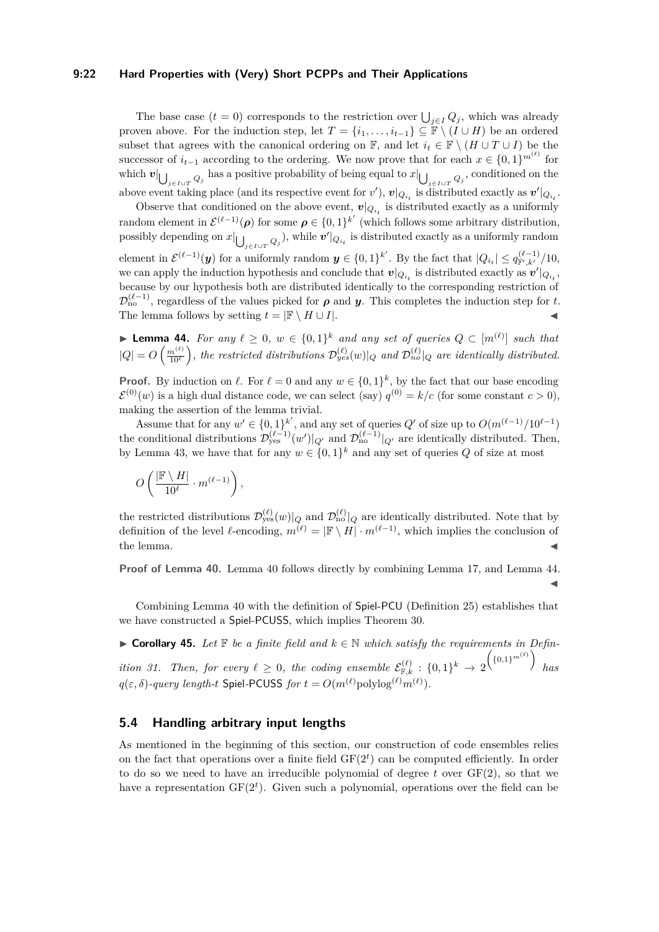#### **9:22 Hard Properties with (Very) Short PCPPs and Their Applications**

The base case  $(t = 0)$  corresponds to the restriction over  $\bigcup_{j \in I} Q_j$ , which was already proven above. For the induction step, let  $T = \{i_1, \ldots, i_{t-1}\} \subseteq \mathbb{F} \setminus (I \cup H)$  be an ordered subset that agrees with the canonical ordering on  $\mathbb{F}$ , and let  $i_t \in \mathbb{F} \setminus (H \cup T \cup I)$  be the successor of  $i_{t-1}$  according to the ordering. We now prove that for each  $x \in \{0,1\}^{m^{(\ell)}}$  for  $\mathbf{v}$   $\bigcup_{j \in I \cup T} Q_j$  has a positive probability of being equal to  $x \big| \bigcup_{j \in I \cup T} Q_j$ , conditioned on the above event taking place (and its respective event for  $v'$ ),  $v|_{Q_{i_t}}$  is distributed exactly as  $v'|_{Q_{i_t}}$ .

Observe that conditioned on the above event,  $v|_{Q_{i_t}}$  is distributed exactly as a uniformly random element in  $\mathcal{E}^{(\ell-1)}(\rho)$  for some  $\rho \in \{0,1\}^{k'}$  (which follows some arbitrary distribution, possibly depending on  $x|_{\bigcup_{j\in I\cup T}Q_j}$ , while  $v'|_{Q_{i_t}}$  is distributed exactly as a uniformly random element in  $\mathcal{E}^{(\ell-1)}(\mathbf{y})$  for a uniformly random  $\mathbf{y} \in \{0,1\}^{k'}$ . By the fact that  $|Q_{i_t}| \leq q_{\mathbb{F}',k'}^{(\ell-1)}/10$ , we can apply the induction hypothesis and conclude that  $v|_{Q_{i_t}}$  is distributed exactly as  $v'|_{Q_{i_t}}$ , because by our hypothesis both are distributed identically to the corresponding restriction of  $\mathcal{D}_{\text{no}}^{(\ell-1)}$ , regardless of the values picked for  $\rho$  and *y*. This completes the induction step for *t*. The lemma follows by setting  $t = |\mathbb{F} \setminus H \cup I|$ .

<span id="page-21-0"></span>▶ **Lemma 44.** For any  $\ell \geq 0$ ,  $w \in \{0,1\}^k$  and any set of queries  $Q \subset [m^{(\ell)}]$  such that  $|Q| = O\left(\frac{m^{(\ell)}}{10^{\ell}}\right)$ , the restricted distributions  $\mathcal{D}_{yes}^{(\ell)}(w)|_Q$  and  $\mathcal{D}_{no}^{(\ell)}|_Q$  are identically distributed.

**Proof.** By induction on  $\ell$ . For  $\ell = 0$  and any  $w \in \{0, 1\}^k$ , by the fact that our base encoding  $\mathcal{E}^{(0)}(w)$  is a high dual distance code, we can select (say)  $q^{(0)} = k/c$  (for some constant  $c > 0$ ), making the assertion of the lemma trivial.

Assume that for any  $w' \in \{0,1\}^{k'}$ , and any set of queries  $Q'$  of size up to  $O(m^{(\ell-1)}/10^{\ell-1})$ the conditional distributions  $\mathcal{D}_{\text{yes}}^{(\ell-1)}(w')|_{Q'}$  and  $\mathcal{D}_{\text{no}}^{(\ell-1)}|_{Q'}$  are identically distributed. Then, by Lemma [43,](#page-20-0) we have that for any  $w \in \{0,1\}^k$  and any set of queries Q of size at most

$$
O\left(\frac{|\mathbb{F} \setminus H|}{10^{\ell}} \cdot m^{(\ell-1)}\right),
$$

the restricted distributions  $\mathcal{D}_{\text{yes}}^{(\ell)}(w)|_Q$  and  $\mathcal{D}_{\text{no}}^{(\ell)}|_Q$  are identically distributed. Note that by definition of the level  $\ell$ -encoding,  $m^{(\ell)} = |\mathbb{F} \setminus H| \cdot m^{(\ell-1)}$ , which implies the conclusion of the lemma.  $\blacktriangleleft$ 

**Proof of Lemma [40.](#page-19-3)** Lemma [40](#page-19-3) follows directly by combining Lemma [17,](#page-9-0) and Lemma [44.](#page-21-0)  $\blacktriangleleft$ 

Combining Lemma [40](#page-19-3) with the definition of Spiel-PCU (Definition [25\)](#page-12-1) establishes that we have constructed a Spiel-PCUSS, which implies Theorem [30.](#page-13-0)

**► Corollary 45.** Let  $\mathbb F$  be a finite field and  $k \in \mathbb N$  which satisfy the requirements in Defin*ition* [31.](#page-14-0) Then, for every  $\ell \geq 0$ , the coding ensemble  $\mathcal{E}_{\mathbb{F},k}^{(\ell)} : \{0,1\}^k \to 2$  $($ {0,1}<sup>*m*( $\ell$ )</sup>) *has*  $q(\varepsilon, \delta)$ -query length-t Spiel-PCUSS for  $t = O(m^{(\ell)} \text{polylog}^{(\ell)} m^{(\ell)})$ .

## **5.4 Handling arbitrary input lengths**

As mentioned in the beginning of this section, our construction of code ensembles relies on the fact that operations over a finite field  $GF(2<sup>t</sup>)$  can be computed efficiently. In order to do so we need to have an irreducible polynomial of degree *t* over GF(2), so that we have a representation  $GF(2<sup>t</sup>)$ . Given such a polynomial, operations over the field can be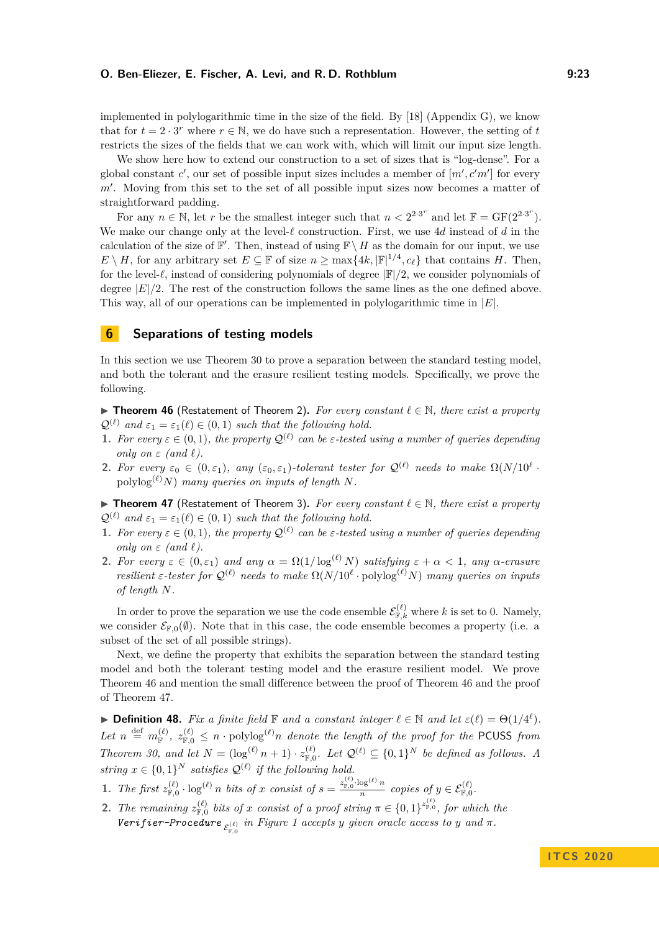implemented in polylogarithmic time in the size of the field. By [\[18\]](#page-25-21) (Appendix G), we know that for  $t = 2 \cdot 3^r$  where  $r \in \mathbb{N}$ , we do have such a representation. However, the setting of *t* restricts the sizes of the fields that we can work with, which will limit our input size length.

We show here how to extend our construction to a set of sizes that is "log-dense". For a global constant  $c'$ , our set of possible input sizes includes a member of  $[m', c'm']$  for every m'. Moving from this set to the set of all possible input sizes now becomes a matter of straightforward padding.

For any  $n \in \mathbb{N}$ , let r be the smallest integer such that  $n < 2^{2 \cdot 3^r}$  and let  $\mathbb{F} = \text{GF}(2^{2 \cdot 3^r})$ . We make our change only at the level- $\ell$  construction. First, we use 4*d* instead of *d* in the calculation of the size of  $\mathbb{F}'$ . Then, instead of using  $\mathbb{F} \setminus H$  as the domain for our input, we use  $E \setminus H$ , for any arbitrary set  $E \subseteq \mathbb{F}$  of size  $n \ge \max\{4k, |\mathbb{F}|^{1/4}, c_{\ell}\}\)$  that contains *H*. Then, for the level- $\ell$ , instead of considering polynomials of degree  $|\mathbb{F}|/2$ , we consider polynomials of degree |*E*|*/*2. The rest of the construction follows the same lines as the one defined above. This way, all of our operations can be implemented in polylogarithmic time in |*E*|.

## **6 Separations of testing models**

In this section we use Theorem [30](#page-13-0) to prove a separation between the standard testing model, and both the tolerant and the erasure resilient testing models. Specifically, we prove the following.

<span id="page-22-0"></span>I **Theorem 46** (Restatement of Theorem [2\)](#page-2-1)**.** *For every constant `* ∈ N*, there exist a property*  $\mathcal{Q}^{(\ell)}$  *and*  $\varepsilon_1 = \varepsilon_1(\ell) \in (0,1)$  *such that the following hold.* 

- **1.** For every  $\varepsilon \in (0,1)$ , the property  $\mathcal{Q}^{(\ell)}$  can be  $\varepsilon$ -tested using a number of queries depending *only on*  $\varepsilon$  *(and*  $\ell$ *).*
- **2.** For every  $\varepsilon_0 \in (0, \varepsilon_1)$ , any  $(\varepsilon_0, \varepsilon_1)$ -tolerant tester for  $\mathcal{Q}^{(\ell)}$  needs to make  $\Omega(N/10^{\ell} \cdot$ polylog<sup> $(\ell)$ </sup>*N*) *many queries on inputs of length N.*

<span id="page-22-1"></span>I **Theorem 47** (Restatement of Theorem [3\)](#page-3-2)**.** *For every constant `* ∈ N*, there exist a property*  $\mathcal{Q}^{(\ell)}$  *and*  $\varepsilon_1 = \varepsilon_1(\ell) \in (0,1)$  *such that the following hold.* 

- **1.** For every  $\varepsilon \in (0,1)$ , the property  $\mathcal{Q}^{(\ell)}$  can be  $\varepsilon$ -tested using a number of queries depending *only on*  $\varepsilon$  *(and*  $\ell$ *).*
- **2.** For every  $\varepsilon \in (0, \varepsilon_1)$  and any  $\alpha = \Omega(1/\log^{(\ell)} N)$  satisfying  $\varepsilon + \alpha < 1$ , any  $\alpha$ -erasure *resilient*  $\varepsilon$ -tester for  $\mathcal{Q}^{(\ell)}$  needs to make  $\Omega(N/10^{\ell} \cdot \text{polylog}^{(\ell)} N)$  *many queries on inputs of length N.*

In order to prove the separation we use the code ensemble  $\mathcal{E}_{\mathbb{F},k}^{(\ell)}$  where *k* is set to 0. Namely, we consider  $\mathcal{E}_{F,0}(\emptyset)$ . Note that in this case, the code ensemble becomes a property (i.e. a subset of the set of all possible strings).

Next, we define the property that exhibits the separation between the standard testing model and both the tolerant testing model and the erasure resilient model. We prove Theorem [46](#page-22-0) and mention the small difference between the proof of Theorem [46](#page-22-0) and the proof of Theorem [47.](#page-22-1)

**Definition 48.** *Fix a finite field*  $\mathbb{F}$  *and a constant integer*  $\ell \in \mathbb{N}$  *and let*  $\varepsilon(\ell) = \Theta(1/4^{\ell})$ *.*  $Let n \stackrel{\text{def}}{=} m_{\mathbb{F}}^{(\ell)}, z_{\mathbb{F},0}^{(\ell)} \leq n \cdot \text{polylog}^{(\ell)} n$  *denote the length of the proof for the* PCUSS *from Theorem [30,](#page-13-0) and let*  $N = (\log^{(\ell)} n + 1) \cdot z_{\mathbb{F},0}^{(\ell)}$ . Let  $\mathcal{Q}^{(\ell)} \subseteq \{0,1\}^N$  be defined as follows. A *string*  $x \in \{0,1\}^N$  *satisfies*  $\mathcal{Q}^{(\ell)}$  *if the following hold.* 

**1.** *The first*  $z_{\mathbb{F},0}^{(\ell)} \cdot \log^{(\ell)} n$  *bits of x consist of*  $s = \frac{z_{\mathbb{F},0}^{(\ell)} \cdot \log^{(\ell)} n}{n}$  $\frac{\log^{(k)} n}{n}$  copies of  $y \in \mathcal{E}_{\mathbb{F},0}^{(\ell)}$ .

**2.** *The remaining*  $z_{\mathbb{F},0}^{(\ell)}$  *bits of x consist of a proof string*  $\pi \in \{0,1\}^{z_{\mathbb{F},0}^{(\ell)}},$  *for which the* Verifier-Procedure  $\epsilon_{F,0}^{(\ell)}$  in Figure [1](#page-17-0) accepts y given oracle access to y and  $\pi$ .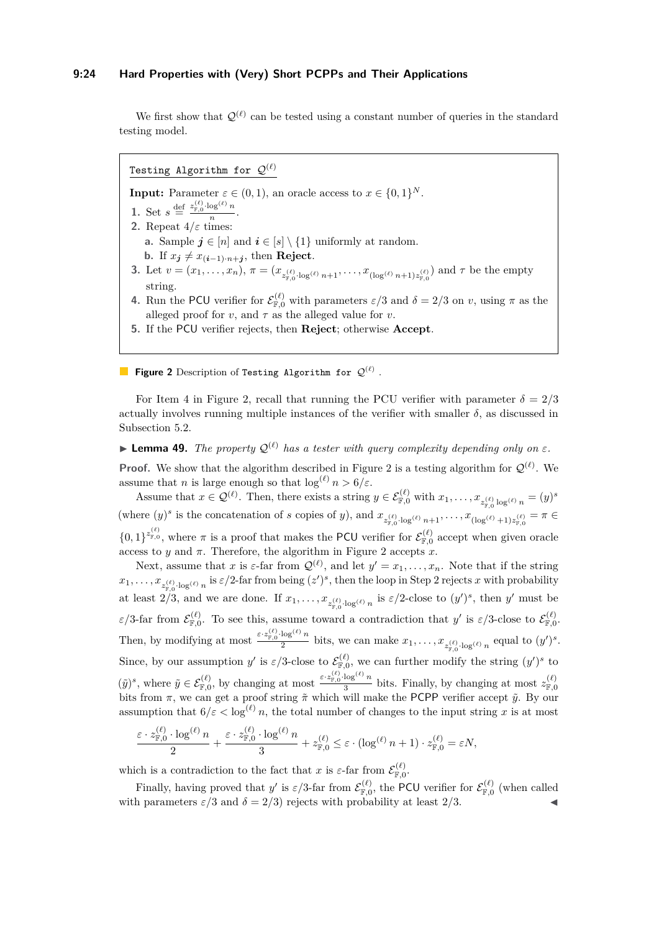#### **9:24 Hard Properties with (Very) Short PCPPs and Their Applications**

We first show that  $\mathcal{Q}^{(\ell)}$  can be tested using a constant number of queries in the standard testing model.

<span id="page-23-2"></span><span id="page-23-1"></span>Testing Algorithm for  $\mathcal{Q}^{(\ell)}$ **Input:** Parameter  $\varepsilon \in (0,1)$ , an oracle access to  $x \in \{0,1\}^N$ . **1.** Set  $s \stackrel{\text{def}}{=} \frac{z_{\mathbb{F},0}^{(\ell)} \cdot \log^{(\ell)} n}{n}$  $\frac{0.6}{n}$ . **2.** Repeat  $4/\varepsilon$  times: **a.** Sample  $j \in [n]$  and  $i \in [s] \setminus \{1\}$  uniformly at random. **b.** If  $x_j \neq x_{(i-1)\cdot n+j}$ , then **Reject**. **3.** Let  $v = (x_1, \ldots, x_n)$ ,  $\pi = (x_{z_{\mathbb{F},0}^{(\ell)} \log^{(\ell)} n+1}, \ldots, x_{(\log^{(\ell)} n+1)z_{\mathbb{F},0}^{(\ell)}})$  and  $\tau$  be the empty string. **4.** Run the PCU verifier for  $\mathcal{E}_{\mathbb{F},0}^{(\ell)}$  with parameters  $\varepsilon/3$  and  $\delta = 2/3$  on *v*, using  $\pi$  as the alleged proof for *v*, and  $\tau$  as the alleged value for *v*.

<span id="page-23-0"></span>**5.** If the PCU verifier rejects, then **Reject**; otherwise **Accept**.

**Figure 2** Description of Testing Algorithm for  $\mathcal{Q}^{(\ell)}$  .

For Item [4](#page-23-0) in Figure [2,](#page-23-1) recall that running the PCU verifier with parameter  $\delta = 2/3$ actually involves running multiple instances of the verifier with smaller  $\delta$ , as discussed in Subsection [5.2.](#page-15-4)

<span id="page-23-3"></span>**Lemma 49.** *The property*  $Q^{(\ell)}$  *has a tester with query complexity depending only on*  $\varepsilon$ *.* 

**Proof.** We show that the algorithm described in Figure [2](#page-23-1) is a testing algorithm for  $Q^{(\ell)}$ . We assume that *n* is large enough so that  $\log^{(\ell)} n > 6/\varepsilon$ .

Assume that  $x \in \mathcal{Q}^{(\ell)}$ . Then, there exists a string  $y \in \mathcal{E}_{\mathbb{F},0}^{(\ell)}$  with  $x_1, \ldots, x_{z_{\pi}^{(\ell)} \log^{(\ell)} n} = (y)^s$ (where  $(y)^s$  is the concatenation of s copies of y), and  $x_{z_{\mathbb{F},0}^{(\ell)} \cdot \log^{(\ell)} n+1}, \ldots, x_{(\log^{(\ell)}+1)z_{\mathbb{F},0}^{(\ell)}} = \pi \in$  $\{0,1\}^{z_{\mathbb{F},0}^{(\ell)}}$ , where  $\pi$  is a proof that makes the PCU verifier for  $\mathcal{E}_{\mathbb{F},0}^{(\ell)}$  accept when given oracle access to *y* and  $\pi$ . Therefore, the algorithm in Figure [2](#page-23-1) accepts *x*.

Next, assume that *x* is  $\varepsilon$ -far from  $\mathcal{Q}^{(\ell)}$ , and let  $y' = x_1, \ldots, x_n$ . Note that if the string  $x_1, \ldots, x_{z_{\overline{\mathbb{F}},0}^{(\ell)}}$  log( $\ell$ ) *n* is  $\varepsilon/2$ -far from being  $(z')^s$ , then the loop in Step [2](#page-23-2) rejects *x* with probability at least  $2/3$ , and we are done. If  $x_1, \ldots, x_{z_{\vert \mathcal{F},0}^{(\ell)} \log^{(\ell)} n}$  is  $\varepsilon/2$ -close to  $(y')^s$ , then  $y'$  must be  $\varepsilon/3$ -far from  $\mathcal{E}_{\mathbb{F},0}^{(\ell)}$ . To see this, assume toward a contradiction that *y'* is  $\varepsilon/3$ -close to  $\mathcal{E}_{\mathbb{F},0}^{(\ell)}$ . Then, by modifying at most  $\frac{\varepsilon \cdot z_{\mathbb{F},0}^{(\ell)} \cdot \log^{(\ell)} n}{2}$  $\frac{\log \binom{n}{n}}{2}$  bits, we can make  $x_1, \ldots, x_{z_{\mathbb{F},0}^{(\ell)} \cdot \log^{(\ell)} n}$  equal to  $(y')^s$ . Since, by our assumption *y'* is  $\varepsilon/3$ -close to  $\mathcal{E}_{\mathbb{F},0}^{(\ell)}$ , we can further modify the string  $(y')^s$  to  $(\tilde{y})^s$ , where  $\tilde{y} \in \mathcal{E}_{\mathbb{F},0}^{(\ell)}$ , by changing at most  $\frac{\varepsilon \cdot z_{\mathbb{F},0}^{(\ell)} \cdot \log^{(\ell)} n}{3}$  $\frac{\log^{10} \ell}{3}$  bits. Finally, by changing at most  $z_{\mathbb{F},0}^{(\ell)}$ bits from  $\pi$ , we can get a proof string  $\tilde{\pi}$  which will make the PCPP verifier accept  $\tilde{y}$ . By our assumption that  $6/\varepsilon < \log^{(\ell)} n$ , the total number of changes to the input string *x* is at most

$$
\frac{\varepsilon \cdot z_{\mathbb{F},0}^{(\ell)} \cdot \log^{(\ell)} n}{2} + \frac{\varepsilon \cdot z_{\mathbb{F},0}^{(\ell)} \cdot \log^{(\ell)} n}{3} + z_{\mathbb{F},0}^{(\ell)} \leq \varepsilon \cdot (\log^{(\ell)} n + 1) \cdot z_{\mathbb{F},0}^{(\ell)} = \varepsilon N,
$$

which is a contradiction to the fact that *x* is  $\varepsilon$ -far from  $\mathcal{E}_{\mathbb{F},0}^{(\ell)}$ .

<span id="page-23-4"></span>Finally, having proved that *y'* is  $\varepsilon/3$ -far from  $\mathcal{E}_{\mathbb{F},0}^{(\ell)}$ , the PCU verifier for  $\mathcal{E}_{\mathbb{F},0}^{(\ell)}$  (when called with parameters  $\varepsilon/3$  and  $\delta = 2/3$ ) rejects with probability at least 2/3.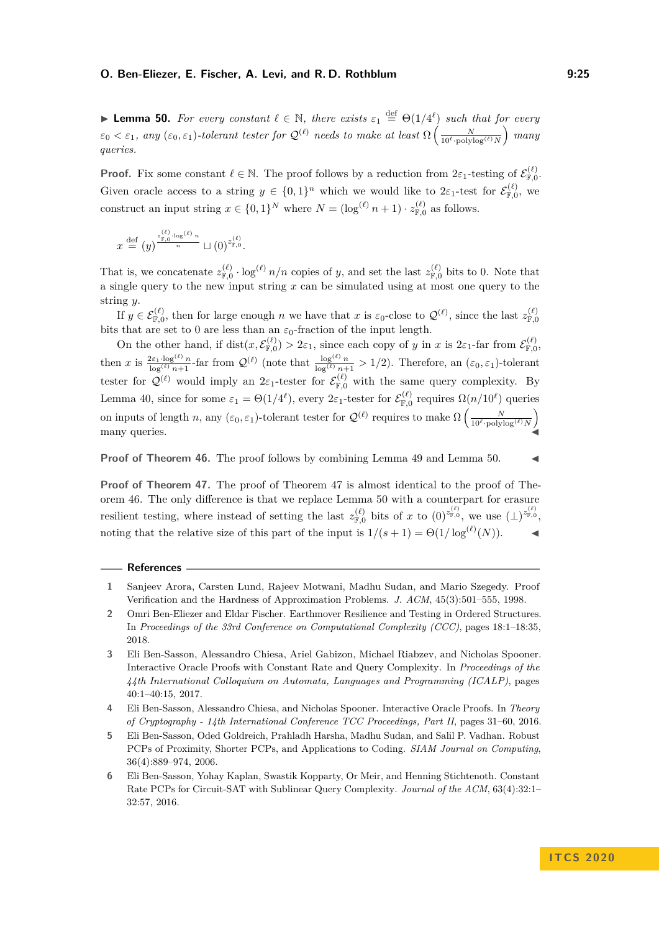**Lemma 50.** For every constant  $\ell \in \mathbb{N}$ , there exists  $\varepsilon_1 \stackrel{\text{def}}{=} \Theta(1/4^{\ell})$  such that for every  $\varepsilon_0 < \varepsilon_1$ , any  $(\varepsilon_0, \varepsilon_1)$ -tolerant tester for  $\mathcal{Q}^{(\ell)}$  needs to make at least  $\Omega\left(\frac{N}{10^\ell \cdot \text{polylog}^{(\ell)} N}\right)$  many *queries.*

**Proof.** Fix some constant  $\ell \in \mathbb{N}$ . The proof follows by a reduction from  $2\varepsilon_1$ -testing of  $\mathcal{E}_{\mathbb{F},0}^{(\ell)}$ . Given oracle access to a string  $y \in \{0,1\}^n$  which we would like to  $2\varepsilon_1$ -test for  $\mathcal{E}_{\mathbb{F},0}^{(\ell)}$ , we construct an input string  $x \in \{0,1\}^N$  where  $N = (\log^{(\ell)} n + 1) \cdot z_{\mathbb{F},0}^{(\ell)}$  as follows.

$$
x \stackrel{\text{def}}{=} (y)^{\frac{z_{\mathbb{F},0}^{(\ell)} \cdot \log(\ell)}{n}} \sqcup (0)^{z_{\mathbb{F},0}^{(\ell)}}.
$$

That is, we concatenate  $z_{\mathbb{F},0}^{(\ell)} \cdot \log^{(\ell)} n/n$  copies of *y*, and set the last  $z_{\mathbb{F},0}^{(\ell)}$  bits to 0. Note that a single query to the new input string *x* can be simulated using at most one query to the string *y*.

If  $y \in \mathcal{E}_{\mathbb{F},0}^{(\ell)}$ , then for large enough *n* we have that *x* is  $\varepsilon_0$ -close to  $\mathcal{Q}^{(\ell)}$ , since the last  $z_{\mathbb{F},0}^{(\ell)}$ bits that are set to 0 are less than an  $\varepsilon_0$ -fraction of the input length.

On the other hand, if  $dist(x, \mathcal{E}_{\mathbb{F},0}^{(\ell)}) > 2\varepsilon_1$ , since each copy of *y* in *x* is  $2\varepsilon_1$ -far from  $\mathcal{E}_{\mathbb{F},0}^{(\ell)}$ , then *x* is  $\frac{2\varepsilon_1 \cdot \log^{(\ell)} n}{\log^{(\ell)} n + 1}$ -far from  $\mathcal{Q}^{(\ell)}$  (note that  $\frac{\log^{(\ell)} n}{\log^{(\ell)} n + 1} > 1/2$ ). Therefore, an  $(\varepsilon_0, \varepsilon_1)$ -tolerant tester for  $\mathcal{Q}^{(\ell)}$  would imply an  $2\varepsilon_1$ -tester for  $\mathcal{E}_{\mathbb{F},0}^{(\ell)}$  with the same query complexity. By Lemma [40,](#page-19-3) since for some  $\varepsilon_1 = \Theta(1/4^{\ell})$ , every  $2\varepsilon_1$ -tester for  $\mathcal{E}_{\mathbb{F},0}^{(\ell)}$  requires  $\Omega(n/10^{\ell})$  queries on inputs of length *n*, any  $(\varepsilon_0, \varepsilon_1)$ -tolerant tester for  $\mathcal{Q}^{(\ell)}$  requires to make  $\Omega\left(\frac{N}{10^{\ell} \cdot \text{polylog}^{(\ell)} N}\right)$ many queries.

#### **Proof of Theorem [46.](#page-22-0)** The proof follows by combining Lemma [49](#page-23-3) and Lemma [50.](#page-23-4)

**Proof of Theorem [47.](#page-22-1)** The proof of Theorem [47](#page-22-1) is almost identical to the proof of Theorem [46.](#page-22-0) The only difference is that we replace Lemma [50](#page-23-4) with a counterpart for erasure resilient testing, where instead of setting the last  $z_{\mathbb{F},0}^{(\ell)}$  bits of *x* to  $(0)^{z_{\mathbb{F},0}^{(\ell)}}$ , we use  $(\perp)^{z_{\mathbb{F},0}^{(\ell)}}$ noting that the relative size of this part of the input is  $1/(s+1) = \Theta(1/\log^{(\ell)}(N))$ .

#### **References**

<span id="page-24-1"></span>**<sup>1</sup>** Sanjeev Arora, Carsten Lund, Rajeev Motwani, Madhu Sudan, and Mario Szegedy. Proof Verification and the Hardness of Approximation Problems. *J. ACM*, 45(3):501–555, 1998.

<span id="page-24-5"></span>**<sup>2</sup>** Omri Ben-Eliezer and Eldar Fischer. Earthmover Resilience and Testing in Ordered Structures. In *Proceedings of the 33rd Conference on Computational Complexity (CCC)*, pages 18:1–18:35, 2018.

<span id="page-24-3"></span>**<sup>3</sup>** Eli Ben-Sasson, Alessandro Chiesa, Ariel Gabizon, Michael Riabzev, and Nicholas Spooner. Interactive Oracle Proofs with Constant Rate and Query Complexity. In *Proceedings of the 44th International Colloquium on Automata, Languages and Programming (ICALP)*, pages 40:1–40:15, 2017.

<span id="page-24-4"></span>**<sup>4</sup>** Eli Ben-Sasson, Alessandro Chiesa, and Nicholas Spooner. Interactive Oracle Proofs. In *Theory of Cryptography - 14th International Conference TCC Proceedings, Part II*, pages 31–60, 2016.

<span id="page-24-0"></span>**<sup>5</sup>** Eli Ben-Sasson, Oded Goldreich, Prahladh Harsha, Madhu Sudan, and Salil P. Vadhan. Robust PCPs of Proximity, Shorter PCPs, and Applications to Coding. *SIAM Journal on Computing*, 36(4):889–974, 2006.

<span id="page-24-2"></span>**<sup>6</sup>** Eli Ben-Sasson, Yohay Kaplan, Swastik Kopparty, Or Meir, and Henning Stichtenoth. Constant Rate PCPs for Circuit-SAT with Sublinear Query Complexity. *Journal of the ACM*, 63(4):32:1– 32:57, 2016.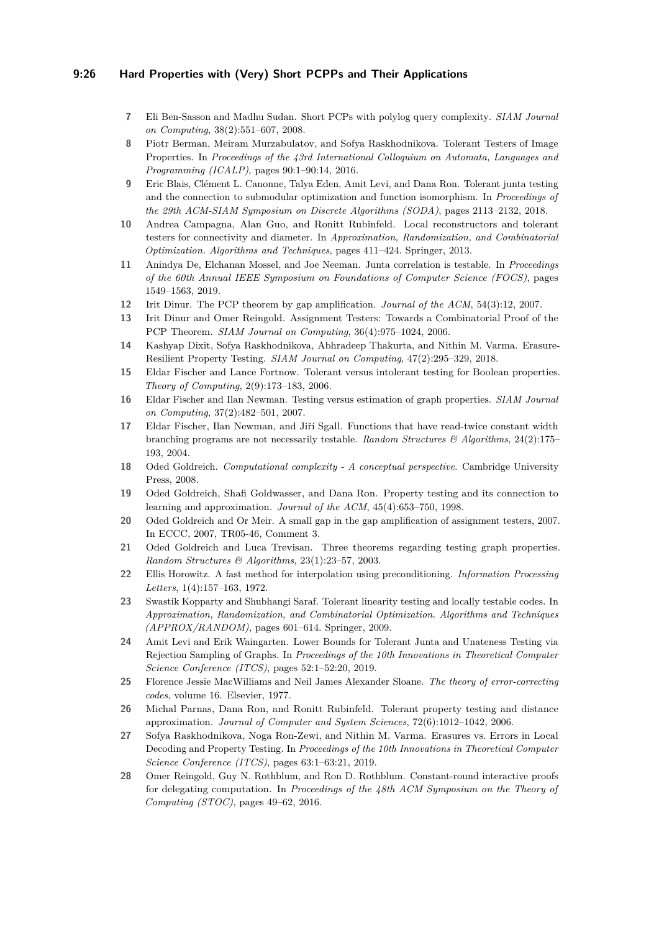## **9:26 Hard Properties with (Very) Short PCPPs and Their Applications**

- <span id="page-25-2"></span>**7** Eli Ben-Sasson and Madhu Sudan. Short PCPs with polylog query complexity. *SIAM Journal on Computing*, 38(2):551–607, 2008.
- <span id="page-25-7"></span>**8** Piotr Berman, Meiram Murzabulatov, and Sofya Raskhodnikova. Tolerant Testers of Image Properties. In *Proceedings of the 43rd International Colloquium on Automata, Languages and Programming (ICALP)*, pages 90:1–90:14, 2016.
- <span id="page-25-8"></span>**9** Eric Blais, Clément L. Canonne, Talya Eden, Amit Levi, and Dana Ron. Tolerant junta testing and the connection to submodular optimization and function isomorphism. In *Proceedings of the 29th ACM-SIAM Symposium on Discrete Algorithms (SODA)*, pages 2113–2132, 2018.
- <span id="page-25-6"></span>**10** Andrea Campagna, Alan Guo, and Ronitt Rubinfeld. Local reconstructors and tolerant testers for connectivity and diameter. In *Approximation, Randomization, and Combinatorial Optimization. Algorithms and Techniques*, pages 411–424. Springer, 2013.
- <span id="page-25-16"></span>**11** Anindya De, Elchanan Mossel, and Joe Neeman. Junta correlation is testable. In *Proceedings of the 60th Annual IEEE Symposium on Foundations of Computer Science (FOCS)*, pages 1549–1563, 2019.
- <span id="page-25-1"></span>**12** Irit Dinur. The PCP theorem by gap amplification. *Journal of the ACM*, 54(3):12, 2007.
- <span id="page-25-0"></span>**13** Irit Dinur and Omer Reingold. Assignment Testers: Towards a Combinatorial Proof of the PCP Theorem. *SIAM Journal on Computing*, 36(4):975–1024, 2006.
- <span id="page-25-10"></span>**14** Kashyap Dixit, Sofya Raskhodnikova, Abhradeep Thakurta, and Nithin M. Varma. Erasure-Resilient Property Testing. *SIAM Journal on Computing*, 47(2):295–329, 2018.
- <span id="page-25-9"></span>**15** Eldar Fischer and Lance Fortnow. Tolerant versus intolerant testing for Boolean properties. *Theory of Computing*, 2(9):173–183, 2006.
- <span id="page-25-4"></span>**16** Eldar Fischer and Ilan Newman. Testing versus estimation of graph properties. *SIAM Journal on Computing*, 37(2):482–501, 2007.
- <span id="page-25-20"></span>**17** Eldar Fischer, Ilan Newman, and Jiří Sgall. Functions that have read-twice constant width branching programs are not necessarily testable. *Random Structures & Algorithms*, 24(2):175– 193, 2004.
- <span id="page-25-21"></span>**18** Oded Goldreich. *Computational complexity - A conceptual perspective*. Cambridge University Press, 2008.
- <span id="page-25-13"></span>**19** Oded Goldreich, Shafi Goldwasser, and Dana Ron. Property testing and its connection to learning and approximation. *Journal of the ACM*, 45(4):653–750, 1998.
- <span id="page-25-19"></span>**20** Oded Goldreich and Or Meir. A small gap in the gap amplification of assignment testers, 2007. In ECCC, 2007, TR05-46, Comment 3.
- <span id="page-25-14"></span>**21** Oded Goldreich and Luca Trevisan. Three theorems regarding testing graph properties. *Random Structures & Algorithms*, 23(1):23–57, 2003.
- <span id="page-25-17"></span>**22** Ellis Horowitz. A fast method for interpolation using preconditioning. *Information Processing Letters*, 1(4):157–163, 1972.
- <span id="page-25-5"></span>**23** Swastik Kopparty and Shubhangi Saraf. Tolerant linearity testing and locally testable codes. In *Approximation, Randomization, and Combinatorial Optimization. Algorithms and Techniques (APPROX/RANDOM)*, pages 601–614. Springer, 2009.
- <span id="page-25-15"></span>**24** Amit Levi and Erik Waingarten. Lower Bounds for Tolerant Junta and Unateness Testing via Rejection Sampling of Graphs. In *Proceedings of the 10th Innovations in Theoretical Computer Science Conference (ITCS)*, pages 52:1–52:20, 2019.
- <span id="page-25-18"></span>**25** Florence Jessie MacWilliams and Neil James Alexander Sloane. *The theory of error-correcting codes*, volume 16. Elsevier, 1977.
- <span id="page-25-3"></span>**26** Michal Parnas, Dana Ron, and Ronitt Rubinfeld. Tolerant property testing and distance approximation. *Journal of Computer and System Sciences*, 72(6):1012–1042, 2006.
- <span id="page-25-11"></span>**27** Sofya Raskhodnikova, Noga Ron-Zewi, and Nithin M. Varma. Erasures vs. Errors in Local Decoding and Property Testing. In *Proceedings of the 10th Innovations in Theoretical Computer Science Conference (ITCS)*, pages 63:1–63:21, 2019.
- <span id="page-25-12"></span>**28** Omer Reingold, Guy N. Rothblum, and Ron D. Rothblum. Constant-round interactive proofs for delegating computation. In *Proceedings of the 48th ACM Symposium on the Theory of Computing (STOC)*, pages 49–62, 2016.